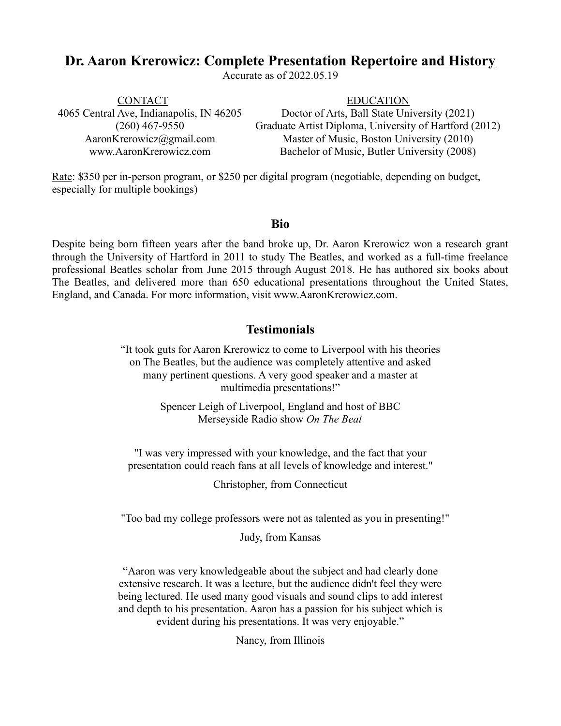# **Dr. Aaron Krerowicz: Complete Presentation Repertoire and History**

Accurate as of 2022.05.19

**CONTACT** 4065 Central Ave, Indianapolis, IN 46205 (260) 467-9550 AaronKrerowicz@gmail.com www.AaronKrerowicz.com

EDUCATION

Doctor of Arts, Ball State University (2021) Graduate Artist Diploma, University of Hartford (2012) Master of Music, Boston University (2010) Bachelor of Music, Butler University (2008)

Rate: \$350 per in-person program, or \$250 per digital program (negotiable, depending on budget, especially for multiple bookings)

#### **Bio**

Despite being born fifteen years after the band broke up, Dr. Aaron Krerowicz won a research grant through the University of Hartford in 2011 to study The Beatles, and worked as a full-time freelance professional Beatles scholar from June 2015 through August 2018. He has authored six books about The Beatles, and delivered more than 650 educational presentations throughout the United States, England, and Canada. For more information, visit www.AaronKrerowicz.com.

#### **Testimonials**

"It took guts for Aaron Krerowicz to come to Liverpool with his theories on The Beatles, but the audience was completely attentive and asked many pertinent questions. A very good speaker and a master at multimedia presentations!"

> Spencer Leigh of Liverpool, England and host of BBC Merseyside Radio show *On The Beat*

"I was very impressed with your knowledge, and the fact that your presentation could reach fans at all levels of knowledge and interest."

Christopher, from Connecticut

"Too bad my college professors were not as talented as you in presenting!"

Judy, from Kansas

"Aaron was very knowledgeable about the subject and had clearly done extensive research. It was a lecture, but the audience didn't feel they were being lectured. He used many good visuals and sound clips to add interest and depth to his presentation. Aaron has a passion for his subject which is evident during his presentations. It was very enjoyable."

Nancy, from Illinois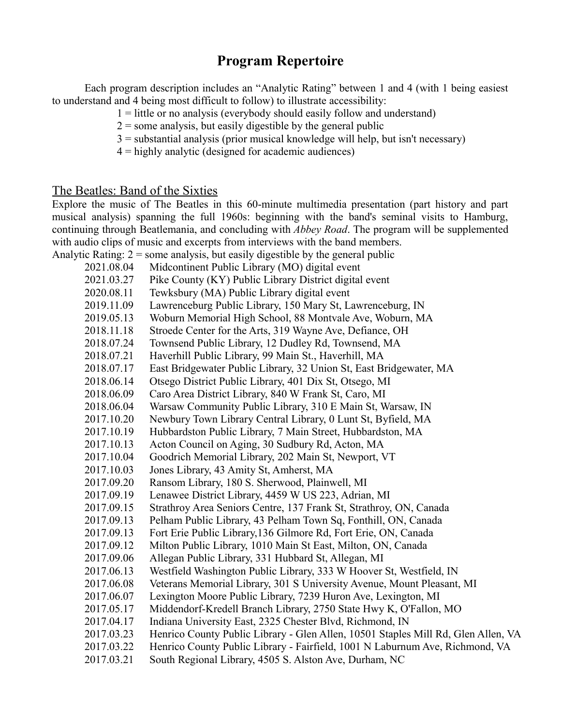# **Program Repertoire**

Each program description includes an "Analytic Rating" between 1 and 4 (with 1 being easiest to understand and 4 being most difficult to follow) to illustrate accessibility:

- 1 = little or no analysis (everybody should easily follow and understand)
- $2$  = some analysis, but easily digestible by the general public
- 3 = substantial analysis (prior musical knowledge will help, but isn't necessary)
- $4 =$  highly analytic (designed for academic audiences)

#### The Beatles: Band of the Sixties

Explore the music of The Beatles in this 60-minute multimedia presentation (part history and part musical analysis) spanning the full 1960s: beginning with the band's seminal visits to Hamburg, continuing through Beatlemania, and concluding with *Abbey Road*. The program will be supplemented with audio clips of music and excerpts from interviews with the band members. Analytic Rating:  $2 =$  some analysis, but easily digestible by the general public

| $\alpha$ is $\alpha$ in $\beta$ . | $\frac{1}{2}$ and $\frac{1}{2}$ by $\frac{1}{2}$ by the settle $\frac{1}{2}$ by the general public |
|-----------------------------------|----------------------------------------------------------------------------------------------------|
| 2021.08.04                        | Midcontinent Public Library (MO) digital event                                                     |
| 2021.03.27                        | Pike County (KY) Public Library District digital event                                             |
| 2020.08.11                        | Tewksbury (MA) Public Library digital event                                                        |
| 2019.11.09                        | Lawrenceburg Public Library, 150 Mary St, Lawrenceburg, IN                                         |
| 2019.05.13                        | Woburn Memorial High School, 88 Montvale Ave, Woburn, MA                                           |
| 2018.11.18                        | Stroede Center for the Arts, 319 Wayne Ave, Defiance, OH                                           |
| 2018.07.24                        | Townsend Public Library, 12 Dudley Rd, Townsend, MA                                                |
| 2018.07.21                        | Haverhill Public Library, 99 Main St., Haverhill, MA                                               |
| 2018.07.17                        | East Bridgewater Public Library, 32 Union St, East Bridgewater, MA                                 |
| 2018.06.14                        | Otsego District Public Library, 401 Dix St, Otsego, MI                                             |
| 2018.06.09                        | Caro Area District Library, 840 W Frank St, Caro, MI                                               |
| 2018.06.04                        | Warsaw Community Public Library, 310 E Main St, Warsaw, IN                                         |
| 2017.10.20                        | Newbury Town Library Central Library, 0 Lunt St, Byfield, MA                                       |
| 2017.10.19                        | Hubbardston Public Library, 7 Main Street, Hubbardston, MA                                         |
| 2017.10.13                        | Acton Council on Aging, 30 Sudbury Rd, Acton, MA                                                   |
| 2017.10.04                        | Goodrich Memorial Library, 202 Main St, Newport, VT                                                |
| 2017.10.03                        | Jones Library, 43 Amity St, Amherst, MA                                                            |
| 2017.09.20                        | Ransom Library, 180 S. Sherwood, Plainwell, MI                                                     |
| 2017.09.19                        | Lenawee District Library, 4459 W US 223, Adrian, MI                                                |
| 2017.09.15                        | Strathroy Area Seniors Centre, 137 Frank St, Strathroy, ON, Canada                                 |
| 2017.09.13                        | Pelham Public Library, 43 Pelham Town Sq, Fonthill, ON, Canada                                     |
| 2017.09.13                        | Fort Erie Public Library, 136 Gilmore Rd, Fort Erie, ON, Canada                                    |
| 2017.09.12                        | Milton Public Library, 1010 Main St East, Milton, ON, Canada                                       |
| 2017.09.06                        | Allegan Public Library, 331 Hubbard St, Allegan, MI                                                |
| 2017.06.13                        | Westfield Washington Public Library, 333 W Hoover St, Westfield, IN                                |
| 2017.06.08                        | Veterans Memorial Library, 301 S University Avenue, Mount Pleasant, MI                             |
| 2017.06.07                        | Lexington Moore Public Library, 7239 Huron Ave, Lexington, MI                                      |
| 2017.05.17                        | Middendorf-Kredell Branch Library, 2750 State Hwy K, O'Fallon, MO                                  |
| 2017.04.17                        | Indiana University East, 2325 Chester Blvd, Richmond, IN                                           |
| 2017.03.23                        | Henrico County Public Library - Glen Allen, 10501 Staples Mill Rd, Glen Allen, VA                  |
| 2017.03.22                        | Henrico County Public Library - Fairfield, 1001 N Laburnum Ave, Richmond, VA                       |
| 2017.03.21                        | South Regional Library, 4505 S. Alston Ave, Durham, NC                                             |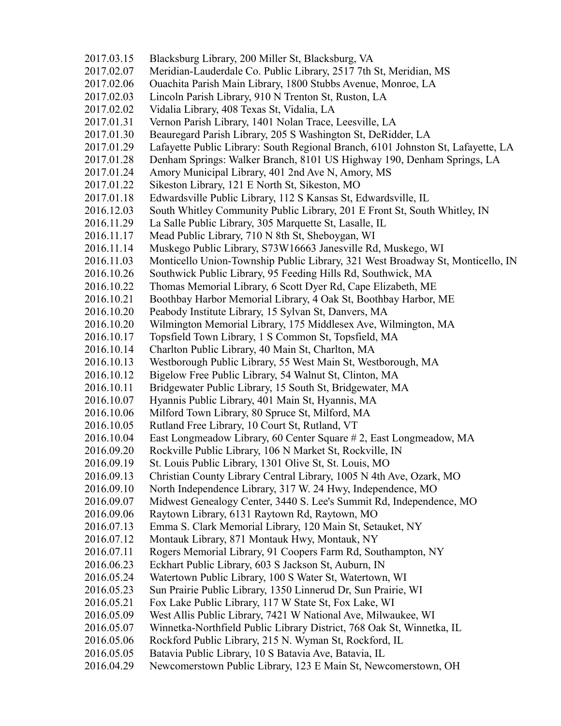2017.03.15 Blacksburg Library, 200 Miller St, Blacksburg, VA 2017.02.07 Meridian-Lauderdale Co. Public Library, 2517 7th St, Meridian, MS 2017.02.06 Ouachita Parish Main Library, 1800 Stubbs Avenue, Monroe, LA 2017.02.03 Lincoln Parish Library, 910 N Trenton St, Ruston, LA 2017.02.02 Vidalia Library, 408 Texas St, Vidalia, LA 2017.01.31 Vernon Parish Library, 1401 Nolan Trace, Leesville, LA 2017.01.30 Beauregard Parish Library, 205 S Washington St, DeRidder, LA 2017.01.29 Lafayette Public Library: South Regional Branch, 6101 Johnston St, Lafayette, LA 2017.01.28 Denham Springs: Walker Branch, 8101 US Highway 190, Denham Springs, LA 2017.01.24 Amory Municipal Library, 401 2nd Ave N, Amory, MS 2017.01.22 Sikeston Library, 121 E North St, Sikeston, MO 2017.01.18 Edwardsville Public Library, 112 S Kansas St, Edwardsville, IL 2016.12.03 South Whitley Community Public Library, 201 E Front St, South Whitley, IN 2016.11.29 La Salle Public Library, 305 Marquette St, Lasalle, IL 2016.11.17 Mead Public Library, 710 N 8th St, Sheboygan, WI 2016.11.14 Muskego Public Library, S73W16663 Janesville Rd, Muskego, WI 2016.11.03 Monticello Union-Township Public Library, 321 West Broadway St, Monticello, IN 2016.10.26 Southwick Public Library, 95 Feeding Hills Rd, Southwick, MA 2016.10.22 Thomas Memorial Library, 6 Scott Dyer Rd, Cape Elizabeth, ME 2016.10.21 Boothbay Harbor Memorial Library, 4 Oak St, Boothbay Harbor, ME 2016.10.20 Peabody Institute Library, 15 Sylvan St, Danvers, MA 2016.10.20 Wilmington Memorial Library, 175 Middlesex Ave, Wilmington, MA 2016.10.17 Topsfield Town Library, 1 S Common St, Topsfield, MA 2016.10.14 Charlton Public Library, 40 Main St, Charlton, MA 2016.10.13 Westborough Public Library, 55 West Main St, Westborough, MA 2016.10.12 Bigelow Free Public Library, 54 Walnut St, Clinton, MA 2016.10.11 Bridgewater Public Library, 15 South St, Bridgewater, MA 2016.10.07 Hyannis Public Library, 401 Main St, Hyannis, MA 2016.10.06 Milford Town Library, 80 Spruce St, Milford, MA 2016.10.05 Rutland Free Library, 10 Court St, Rutland, VT 2016.10.04 East Longmeadow Library, 60 Center Square # 2, East Longmeadow, MA 2016.09.20 Rockville Public Library, 106 N Market St, Rockville, IN 2016.09.19 St. Louis Public Library, 1301 Olive St, St. Louis, MO 2016.09.13 Christian County Library Central Library, 1005 N 4th Ave, Ozark, MO 2016.09.10 North Independence Library, 317 W. 24 Hwy, Independence, MO 2016.09.07 Midwest Genealogy Center, 3440 S. Lee's Summit Rd, Independence, MO 2016.09.06 Raytown Library, 6131 Raytown Rd, Raytown, MO 2016.07.13 Emma S. Clark Memorial Library, 120 Main St, Setauket, NY 2016.07.12 Montauk Library, 871 Montauk Hwy, Montauk, NY 2016.07.11 Rogers Memorial Library, 91 Coopers Farm Rd, Southampton, NY 2016.06.23 Eckhart Public Library, 603 S Jackson St, Auburn, IN 2016.05.24 Watertown Public Library, 100 S Water St, Watertown, WI 2016.05.23 Sun Prairie Public Library, 1350 Linnerud Dr, Sun Prairie, WI 2016.05.21 Fox Lake Public Library, 117 W State St, Fox Lake, WI 2016.05.09 West Allis Public Library, 7421 W National Ave, Milwaukee, WI 2016.05.07 Winnetka-Northfield Public Library District, 768 Oak St, Winnetka, IL 2016.05.06 Rockford Public Library, 215 N. Wyman St, Rockford, IL 2016.05.05 Batavia Public Library, 10 S Batavia Ave, Batavia, IL 2016.04.29 Newcomerstown Public Library, 123 E Main St, Newcomerstown, OH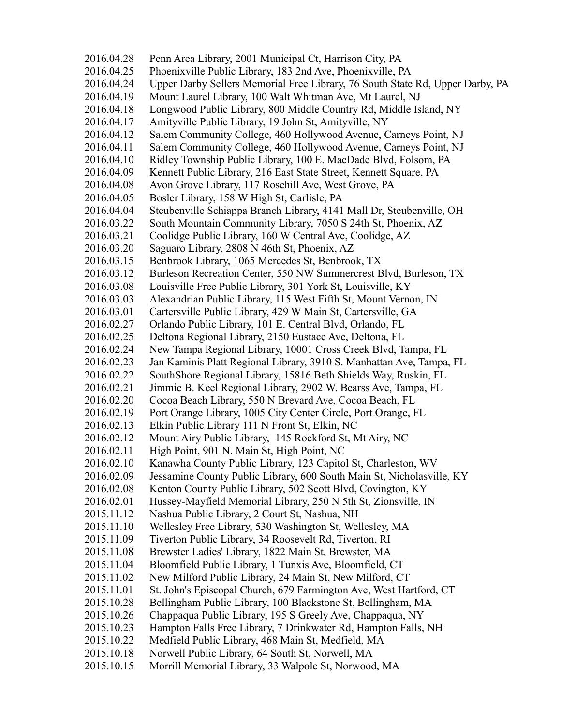2016.04.28 Penn Area Library, 2001 Municipal Ct, Harrison City, PA 2016.04.25 Phoenixville Public Library, 183 2nd Ave, Phoenixville, PA 2016.04.24 Upper Darby Sellers Memorial Free Library, 76 South State Rd, Upper Darby, PA 2016.04.19 Mount Laurel Library, 100 Walt Whitman Ave, Mt Laurel, NJ 2016.04.18 Longwood Public Library, 800 Middle Country Rd, Middle Island, NY 2016.04.17 Amityville Public Library, 19 John St, Amityville, NY 2016.04.12 Salem Community College, 460 Hollywood Avenue, Carneys Point, NJ 2016.04.11 Salem Community College, 460 Hollywood Avenue, Carneys Point, NJ 2016.04.10 Ridley Township Public Library, 100 E. MacDade Blvd, Folsom, PA 2016.04.09 Kennett Public Library, 216 East State Street, Kennett Square, PA 2016.04.08 Avon Grove Library, 117 Rosehill Ave, West Grove, PA 2016.04.05 Bosler Library, 158 W High St, Carlisle, PA 2016.04.04 Steubenville Schiappa Branch Library, 4141 Mall Dr, Steubenville, OH 2016.03.22 South Mountain Community Library, 7050 S 24th St, Phoenix, AZ 2016.03.21 Coolidge Public Library, 160 W Central Ave, Coolidge, AZ 2016.03.20 Saguaro Library, 2808 N 46th St, Phoenix, AZ 2016.03.15 Benbrook Library, 1065 Mercedes St, Benbrook, TX 2016.03.12 Burleson Recreation Center, 550 NW Summercrest Blvd, Burleson, TX 2016.03.08 Louisville Free Public Library, 301 York St, Louisville, KY 2016.03.03 Alexandrian Public Library, 115 West Fifth St, Mount Vernon, IN 2016.03.01 Cartersville Public Library, 429 W Main St, Cartersville, GA 2016.02.27 Orlando Public Library, 101 E. Central Blvd, Orlando, FL 2016.02.25 Deltona Regional Library, 2150 Eustace Ave, Deltona, FL 2016.02.24 New Tampa Regional Library, 10001 Cross Creek Blvd, Tampa, FL 2016.02.23 Jan Kaminis Platt Regional Library, 3910 S. Manhattan Ave, Tampa, FL 2016.02.22 SouthShore Regional Library, 15816 Beth Shields Way, Ruskin, FL 2016.02.21 Jimmie B. Keel Regional Library, 2902 W. Bearss Ave, Tampa, FL 2016.02.20 Cocoa Beach Library, 550 N Brevard Ave, Cocoa Beach, FL 2016.02.19 Port Orange Library, 1005 City Center Circle, Port Orange, FL 2016.02.13 Elkin Public Library 111 N Front St, Elkin, NC 2016.02.12 Mount Airy Public Library, 145 Rockford St, Mt Airy, NC 2016.02.11 High Point, 901 N. Main St, High Point, NC 2016.02.10 Kanawha County Public Library, 123 Capitol St, Charleston, WV 2016.02.09 Jessamine County Public Library, 600 South Main St, Nicholasville, KY 2016.02.08 Kenton County Public Library, 502 Scott Blvd, Covington, KY 2016.02.01 Hussey-Mayfield Memorial Library, 250 N 5th St, Zionsville, IN 2015.11.12 Nashua Public Library, 2 Court St, Nashua, NH 2015.11.10 Wellesley Free Library, 530 Washington St, Wellesley, MA 2015.11.09 Tiverton Public Library, 34 Roosevelt Rd, Tiverton, RI 2015.11.08 Brewster Ladies' Library, 1822 Main St, Brewster, MA 2015.11.04 Bloomfield Public Library, 1 Tunxis Ave, Bloomfield, CT 2015.11.02 New Milford Public Library, 24 Main St, New Milford, CT 2015.11.01 St. John's Episcopal Church, 679 Farmington Ave, West Hartford, CT 2015.10.28 Bellingham Public Library, 100 Blackstone St, Bellingham, MA 2015.10.26 Chappaqua Public Library, 195 S Greely Ave, Chappaqua, NY 2015.10.23 Hampton Falls Free Library, 7 Drinkwater Rd, Hampton Falls, NH 2015.10.22 Medfield Public Library, 468 Main St, Medfield, MA 2015.10.18 Norwell Public Library, 64 South St, Norwell, MA 2015.10.15 Morrill Memorial Library, 33 Walpole St, Norwood, MA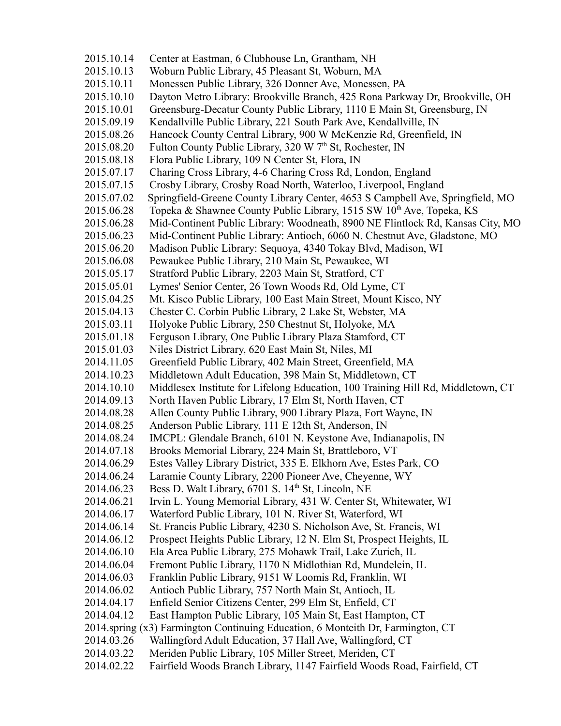| 2015.10.14 | Center at Eastman, 6 Clubhouse Ln, Grantham, NH                                  |
|------------|----------------------------------------------------------------------------------|
| 2015.10.13 | Woburn Public Library, 45 Pleasant St, Woburn, MA                                |
| 2015.10.11 | Monessen Public Library, 326 Donner Ave, Monessen, PA                            |
| 2015.10.10 | Dayton Metro Library: Brookville Branch, 425 Rona Parkway Dr, Brookville, OH     |
| 2015.10.01 | Greensburg-Decatur County Public Library, 1110 E Main St, Greensburg, IN         |
| 2015.09.19 | Kendallville Public Library, 221 South Park Ave, Kendallville, IN                |
| 2015.08.26 | Hancock County Central Library, 900 W McKenzie Rd, Greenfield, IN                |
| 2015.08.20 | Fulton County Public Library, 320 W 7 <sup>th</sup> St, Rochester, IN            |
| 2015.08.18 | Flora Public Library, 109 N Center St, Flora, IN                                 |
| 2015.07.17 | Charing Cross Library, 4-6 Charing Cross Rd, London, England                     |
| 2015.07.15 | Crosby Library, Crosby Road North, Waterloo, Liverpool, England                  |
| 2015.07.02 | Springfield-Greene County Library Center, 4653 S Campbell Ave, Springfield, MO   |
| 2015.06.28 | Topeka & Shawnee County Public Library, 1515 SW 10 <sup>th</sup> Ave, Topeka, KS |
| 2015.06.28 | Mid-Continent Public Library: Woodneath, 8900 NE Flintlock Rd, Kansas City, MO   |
| 2015.06.23 | Mid-Continent Public Library: Antioch, 6060 N. Chestnut Ave, Gladstone, MO       |
| 2015.06.20 | Madison Public Library: Sequoya, 4340 Tokay Blvd, Madison, WI                    |
| 2015.06.08 | Pewaukee Public Library, 210 Main St, Pewaukee, WI                               |
| 2015.05.17 | Stratford Public Library, 2203 Main St, Stratford, CT                            |
| 2015.05.01 | Lymes' Senior Center, 26 Town Woods Rd, Old Lyme, CT                             |
| 2015.04.25 | Mt. Kisco Public Library, 100 East Main Street, Mount Kisco, NY                  |
| 2015.04.13 | Chester C. Corbin Public Library, 2 Lake St, Webster, MA                         |
| 2015.03.11 | Holyoke Public Library, 250 Chestnut St, Holyoke, MA                             |
| 2015.01.18 | Ferguson Library, One Public Library Plaza Stamford, CT                          |
| 2015.01.03 | Niles District Library, 620 East Main St, Niles, MI                              |
| 2014.11.05 | Greenfield Public Library, 402 Main Street, Greenfield, MA                       |
| 2014.10.23 | Middletown Adult Education, 398 Main St, Middletown, CT                          |
| 2014.10.10 | Middlesex Institute for Lifelong Education, 100 Training Hill Rd, Middletown, CT |
| 2014.09.13 | North Haven Public Library, 17 Elm St, North Haven, CT                           |
| 2014.08.28 | Allen County Public Library, 900 Library Plaza, Fort Wayne, IN                   |
| 2014.08.25 | Anderson Public Library, 111 E 12th St, Anderson, IN                             |
| 2014.08.24 | IMCPL: Glendale Branch, 6101 N. Keystone Ave, Indianapolis, IN                   |
| 2014.07.18 | Brooks Memorial Library, 224 Main St, Brattleboro, VT                            |
| 2014.06.29 | Estes Valley Library District, 335 E. Elkhorn Ave, Estes Park, CO                |
| 2014.06.24 | Laramie County Library, 2200 Pioneer Ave, Cheyenne, WY                           |
| 2014.06.23 | Bess D. Walt Library, 6701 S. 14 <sup>th</sup> St, Lincoln, NE                   |
| 2014.06.21 | Irvin L. Young Memorial Library, 431 W. Center St, Whitewater, WI                |
| 2014.06.17 | Waterford Public Library, 101 N. River St, Waterford, WI                         |
| 2014.06.14 | St. Francis Public Library, 4230 S. Nicholson Ave, St. Francis, WI               |
| 2014.06.12 | Prospect Heights Public Library, 12 N. Elm St, Prospect Heights, IL              |
| 2014.06.10 | Ela Area Public Library, 275 Mohawk Trail, Lake Zurich, IL                       |
| 2014.06.04 | Fremont Public Library, 1170 N Midlothian Rd, Mundelein, IL                      |
| 2014.06.03 | Franklin Public Library, 9151 W Loomis Rd, Franklin, WI                          |
| 2014.06.02 | Antioch Public Library, 757 North Main St, Antioch, IL                           |
| 2014.04.17 | Enfield Senior Citizens Center, 299 Elm St, Enfield, CT                          |
| 2014.04.12 | East Hampton Public Library, 105 Main St, East Hampton, CT                       |
|            | 2014.spring (x3) Farmington Continuing Education, 6 Monteith Dr, Farmington, CT  |
| 2014.03.26 | Wallingford Adult Education, 37 Hall Ave, Wallingford, CT                        |
| 2014.03.22 | Meriden Public Library, 105 Miller Street, Meriden, CT                           |
| 2014.02.22 | Fairfield Woods Branch Library, 1147 Fairfield Woods Road, Fairfield, CT         |
|            |                                                                                  |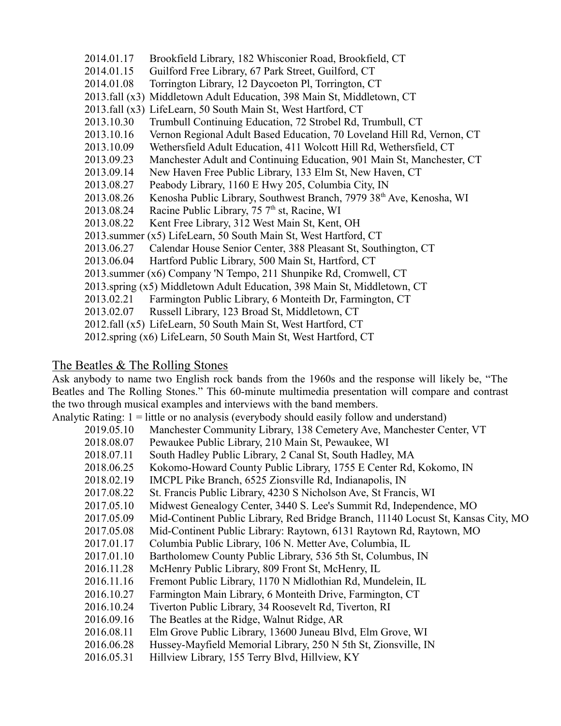| 2014.01.17 | Brookfield Library, 182 Whisconier Road, Brookfield, CT                          |
|------------|----------------------------------------------------------------------------------|
| 2014.01.15 | Guilford Free Library, 67 Park Street, Guilford, CT                              |
| 2014.01.08 | Torrington Library, 12 Daycoeton Pl, Torrington, CT                              |
|            | 2013.fall (x3) Middletown Adult Education, 398 Main St, Middletown, CT           |
|            | 2013.fall (x3) LifeLearn, 50 South Main St, West Hartford, CT                    |
| 2013.10.30 | Trumbull Continuing Education, 72 Strobel Rd, Trumbull, CT                       |
| 2013.10.16 | Vernon Regional Adult Based Education, 70 Loveland Hill Rd, Vernon, CT           |
| 2013.10.09 | Wethersfield Adult Education, 411 Wolcott Hill Rd, Wethersfield, CT              |
| 2013.09.23 | Manchester Adult and Continuing Education, 901 Main St, Manchester, CT           |
| 2013.09.14 | New Haven Free Public Library, 133 Elm St, New Haven, CT                         |
| 2013.08.27 | Peabody Library, 1160 E Hwy 205, Columbia City, IN                               |
| 2013.08.26 | Kenosha Public Library, Southwest Branch, 7979 38 <sup>th</sup> Ave, Kenosha, WI |
| 2013.08.24 | Racine Public Library, 75 7 <sup>th</sup> st, Racine, WI                         |
| 2013.08.22 | Kent Free Library, 312 West Main St, Kent, OH                                    |
|            | 2013.summer (x5) LifeLearn, 50 South Main St, West Hartford, CT                  |
| 2013.06.27 | Calendar House Senior Center, 388 Pleasant St, Southington, CT                   |
| 2013.06.04 | Hartford Public Library, 500 Main St, Hartford, CT                               |
|            | 2013.summer (x6) Company 'N Tempo, 211 Shunpike Rd, Cromwell, CT                 |
|            | 2013.spring (x5) Middletown Adult Education, 398 Main St, Middletown, CT         |
| 2013.02.21 | Farmington Public Library, 6 Monteith Dr, Farmington, CT                         |
| 2013.02.07 | Russell Library, 123 Broad St, Middletown, CT                                    |
|            | 2012.fall (x5) LifeLearn, 50 South Main St, West Hartford, CT                    |
|            | 2012.spring (x6) LifeLearn, 50 South Main St, West Hartford, CT                  |

#### The Beatles & The Rolling Stones

Ask anybody to name two English rock bands from the 1960s and the response will likely be, "The Beatles and The Rolling Stones." This 60-minute multimedia presentation will compare and contrast the two through musical examples and interviews with the band members.

Analytic Rating: 1 = little or no analysis (everybody should easily follow and understand)

- 2019.05.10 Manchester Community Library, 138 Cemetery Ave, Manchester Center, VT
- 2018.08.07 Pewaukee Public Library, 210 Main St, Pewaukee, WI
- 2018.07.11 South Hadley Public Library, 2 Canal St, South Hadley, MA
- 2018.06.25 Kokomo-Howard County Public Library, 1755 E Center Rd, Kokomo, IN
- 2018.02.19 IMCPL Pike Branch, 6525 Zionsville Rd, Indianapolis, IN
- 2017.08.22 St. Francis Public Library, 4230 S Nicholson Ave, St Francis, WI
- 2017.05.10 Midwest Genealogy Center, 3440 S. Lee's Summit Rd, Independence, MO
- 2017.05.09 Mid-Continent Public Library, Red Bridge Branch, 11140 Locust St, Kansas City, MO
- 2017.05.08 Mid-Continent Public Library: Raytown, 6131 Raytown Rd, Raytown, MO
- 2017.01.17 Columbia Public Library, 106 N. Metter Ave, Columbia, IL
- 2017.01.10 Bartholomew County Public Library, 536 5th St, Columbus, IN
- 2016.11.28 McHenry Public Library, 809 Front St, McHenry, IL
- 2016.11.16 Fremont Public Library, 1170 N Midlothian Rd, Mundelein, IL
- 2016.10.27 Farmington Main Library, 6 Monteith Drive, Farmington, CT
- 2016.10.24 Tiverton Public Library, 34 Roosevelt Rd, Tiverton, RI
- 2016.09.16 The Beatles at the Ridge, Walnut Ridge, AR
- 2016.08.11 Elm Grove Public Library, 13600 Juneau Blvd, Elm Grove, WI
- 2016.06.28 Hussey-Mayfield Memorial Library, 250 N 5th St, Zionsville, IN
- 2016.05.31 Hillview Library, 155 Terry Blvd, Hillview, KY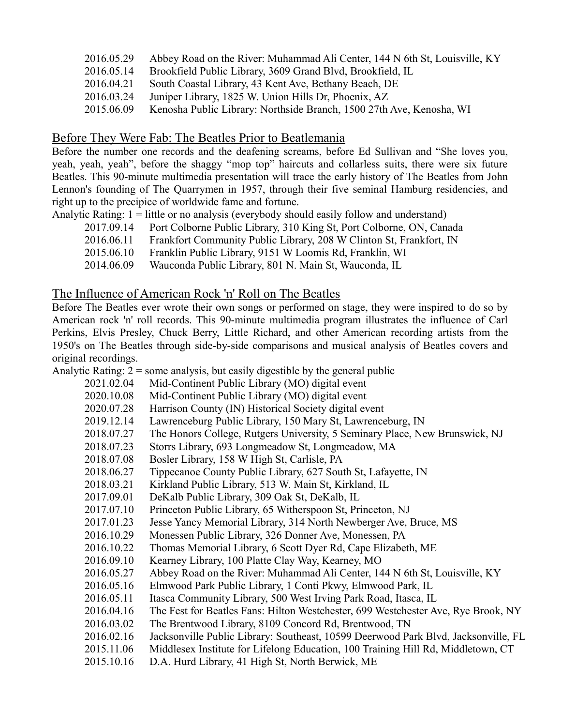- 2016.05.29 Abbey Road on the River: Muhammad Ali Center, 144 N 6th St, Louisville, KY
- 2016.05.14 Brookfield Public Library, 3609 Grand Blvd, Brookfield, IL
- 2016.04.21 South Coastal Library, 43 Kent Ave, Bethany Beach, DE
- 2016.03.24 Juniper Library, 1825 W. Union Hills Dr, Phoenix, AZ
- 2015.06.09 Kenosha Public Library: Northside Branch, 1500 27th Ave, Kenosha, WI

### Before They Were Fab: The Beatles Prior to Beatlemania

Before the number one records and the deafening screams, before Ed Sullivan and "She loves you, yeah, yeah, yeah", before the shaggy "mop top" haircuts and collarless suits, there were six future Beatles. This 90-minute multimedia presentation will trace the early history of The Beatles from John Lennon's founding of The Quarrymen in 1957, through their five seminal Hamburg residencies, and right up to the precipice of worldwide fame and fortune.

Analytic Rating: 1 = little or no analysis (everybody should easily follow and understand)

- 2017.09.14 Port Colborne Public Library, 310 King St, Port Colborne, ON, Canada
- 2016.06.11 Frankfort Community Public Library, 208 W Clinton St, Frankfort, IN
- 2015.06.10 Franklin Public Library, 9151 W Loomis Rd, Franklin, WI
- 2014.06.09 Wauconda Public Library, 801 N. Main St, Wauconda, IL

## The Influence of American Rock 'n' Roll on The Beatles

Before The Beatles ever wrote their own songs or performed on stage, they were inspired to do so by American rock 'n' roll records. This 90-minute multimedia program illustrates the influence of Carl Perkins, Elvis Presley, Chuck Berry, Little Richard, and other American recording artists from the 1950's on The Beatles through side-by-side comparisons and musical analysis of Beatles covers and original recordings.

Analytic Rating:  $2 =$  some analysis, but easily digestible by the general public

- 2021.02.04 Mid-Continent Public Library (MO) digital event
- 2020.10.08 Mid-Continent Public Library (MO) digital event
- 2020.07.28 Harrison County (IN) Historical Society digital event
- 2019.12.14 Lawrenceburg Public Library, 150 Mary St, Lawrenceburg, IN
- 2018.07.27 The Honors College, Rutgers University, 5 Seminary Place, New Brunswick, NJ
- 2018.07.23 Storrs Library, 693 Longmeadow St, Longmeadow, MA
- 2018.07.08 Bosler Library, 158 W High St, Carlisle, PA
- 2018.06.27 Tippecanoe County Public Library, 627 South St, Lafayette, IN
- 2018.03.21 Kirkland Public Library, 513 W. Main St, Kirkland, IL
- 2017.09.01 DeKalb Public Library, 309 Oak St, DeKalb, IL
- 2017.07.10 Princeton Public Library, 65 Witherspoon St, Princeton, NJ
- 2017.01.23 Jesse Yancy Memorial Library, 314 North Newberger Ave, Bruce, MS
- 2016.10.29 Monessen Public Library, 326 Donner Ave, Monessen, PA
- 2016.10.22 Thomas Memorial Library, 6 Scott Dyer Rd, Cape Elizabeth, ME
- 2016.09.10 Kearney Library, 100 Platte Clay Way, Kearney, MO
- 2016.05.27 Abbey Road on the River: Muhammad Ali Center, 144 N 6th St, Louisville, KY
- 2016.05.16 Elmwood Park Public Library, 1 Conti Pkwy, Elmwood Park, IL
- 2016.05.11 Itasca Community Library, 500 West Irving Park Road, Itasca, IL
- 2016.04.16 The Fest for Beatles Fans: Hilton Westchester, 699 Westchester Ave, Rye Brook, NY
- 2016.03.02 The Brentwood Library, 8109 Concord Rd, Brentwood, TN
- 2016.02.16 Jacksonville Public Library: Southeast, 10599 Deerwood Park Blvd, Jacksonville, FL
- 2015.11.06 Middlesex Institute for Lifelong Education, 100 Training Hill Rd, Middletown, CT
- 2015.10.16 D.A. Hurd Library, 41 High St, North Berwick, ME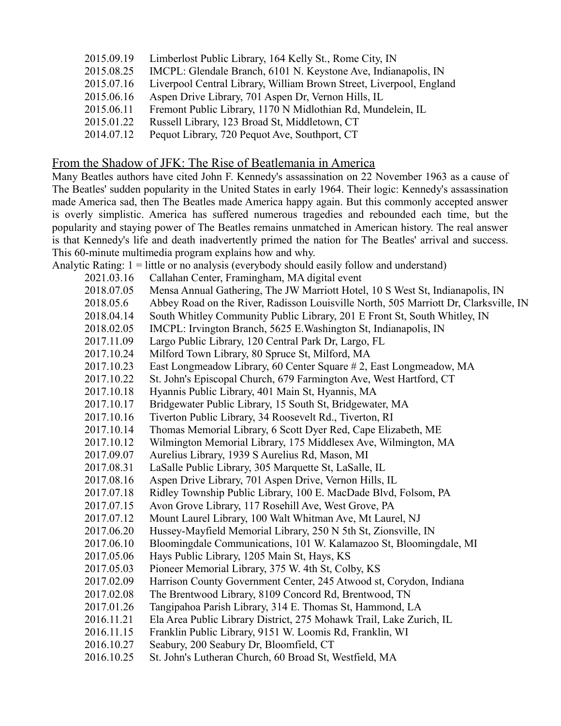- 2015.09.19 Limberlost Public Library, 164 Kelly St., Rome City, IN
- 2015.08.25 IMCPL: Glendale Branch, 6101 N. Keystone Ave, Indianapolis, IN
- 2015.07.16 Liverpool Central Library, William Brown Street, Liverpool, England
- 2015.06.16 Aspen Drive Library, 701 Aspen Dr, Vernon Hills, IL
- 2015.06.11 Fremont Public Library, 1170 N Midlothian Rd, Mundelein, IL
- 2015.01.22 Russell Library, 123 Broad St, Middletown, CT
- 2014.07.12 Pequot Library, 720 Pequot Ave, Southport, CT

#### From the Shadow of JFK: The Rise of Beatlemania in America

Many Beatles authors have cited John F. Kennedy's assassination on 22 November 1963 as a cause of The Beatles' sudden popularity in the United States in early 1964. Their logic: Kennedy's assassination made America sad, then The Beatles made America happy again. But this commonly accepted answer is overly simplistic. America has suffered numerous tragedies and rebounded each time, but the popularity and staying power of The Beatles remains unmatched in American history. The real answer is that Kennedy's life and death inadvertently primed the nation for The Beatles' arrival and success. This 60-minute multimedia program explains how and why.

Analytic Rating: 1 = little or no analysis (everybody should easily follow and understand)

| 2021.03.16 | Callahan Center, Framingham, MA digital event                                        |
|------------|--------------------------------------------------------------------------------------|
| 2018.07.05 | Mensa Annual Gathering, The JW Marriott Hotel, 10 S West St, Indianapolis, IN        |
| 2018.05.6  | Abbey Road on the River, Radisson Louisville North, 505 Marriott Dr, Clarksville, IN |
| 2018.04.14 | South Whitley Community Public Library, 201 E Front St, South Whitley, IN            |
| 2018.02.05 | IMCPL: Irvington Branch, 5625 E. Washington St, Indianapolis, IN                     |
| 2017.11.09 | Largo Public Library, 120 Central Park Dr, Largo, FL                                 |
| 2017.10.24 | Milford Town Library, 80 Spruce St, Milford, MA                                      |
| 2017.10.23 | East Longmeadow Library, 60 Center Square # 2, East Longmeadow, MA                   |
| 2017.10.22 | St. John's Episcopal Church, 679 Farmington Ave, West Hartford, CT                   |
| 2017.10.18 | Hyannis Public Library, 401 Main St, Hyannis, MA                                     |
| 2017.10.17 | Bridgewater Public Library, 15 South St, Bridgewater, MA                             |
| 2017.10.16 | Tiverton Public Library, 34 Roosevelt Rd., Tiverton, RI                              |
| 2017.10.14 | Thomas Memorial Library, 6 Scott Dyer Red, Cape Elizabeth, ME                        |
| 2017.10.12 | Wilmington Memorial Library, 175 Middlesex Ave, Wilmington, MA                       |
| 2017.09.07 | Aurelius Library, 1939 S Aurelius Rd, Mason, MI                                      |
| 2017.08.31 | LaSalle Public Library, 305 Marquette St, LaSalle, IL                                |
| 2017.08.16 | Aspen Drive Library, 701 Aspen Drive, Vernon Hills, IL                               |
| 2017.07.18 | Ridley Township Public Library, 100 E. MacDade Blvd, Folsom, PA                      |
| 2017.07.15 | Avon Grove Library, 117 Rosehill Ave, West Grove, PA                                 |
| 2017.07.12 | Mount Laurel Library, 100 Walt Whitman Ave, Mt Laurel, NJ                            |
| 2017.06.20 | Hussey-Mayfield Memorial Library, 250 N 5th St, Zionsville, IN                       |
| 2017.06.10 | Bloomingdale Communications, 101 W. Kalamazoo St, Bloomingdale, MI                   |
| 2017.05.06 | Hays Public Library, 1205 Main St, Hays, KS                                          |
| 2017.05.03 | Pioneer Memorial Library, 375 W. 4th St, Colby, KS                                   |
| 2017.02.09 | Harrison County Government Center, 245 Atwood st, Corydon, Indiana                   |
| 2017.02.08 | The Brentwood Library, 8109 Concord Rd, Brentwood, TN                                |
| 2017.01.26 | Tangipahoa Parish Library, 314 E. Thomas St, Hammond, LA                             |
| 2016.11.21 | Ela Area Public Library District, 275 Mohawk Trail, Lake Zurich, IL                  |
| 2016.11.15 | Franklin Public Library, 9151 W. Loomis Rd, Franklin, WI                             |
| 2016.10.27 | Seabury, 200 Seabury Dr, Bloomfield, CT                                              |
| 2016.10.25 | St. John's Lutheran Church, 60 Broad St, Westfield, MA                               |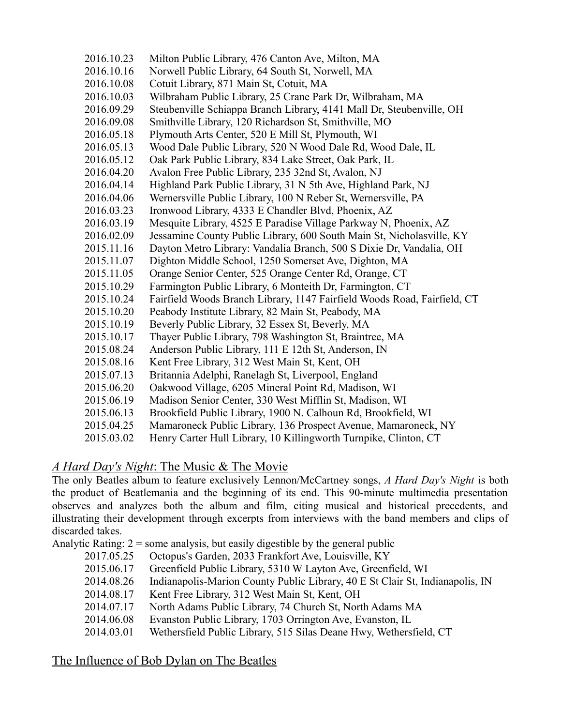| 2016.10.23 | Milton Public Library, 476 Canton Ave, Milton, MA                        |
|------------|--------------------------------------------------------------------------|
| 2016.10.16 | Norwell Public Library, 64 South St, Norwell, MA                         |
| 2016.10.08 | Cotuit Library, 871 Main St, Cotuit, MA                                  |
| 2016.10.03 | Wilbraham Public Library, 25 Crane Park Dr, Wilbraham, MA                |
| 2016.09.29 | Steubenville Schiappa Branch Library, 4141 Mall Dr, Steubenville, OH     |
| 2016.09.08 | Smithville Library, 120 Richardson St, Smithville, MO                    |
| 2016.05.18 | Plymouth Arts Center, 520 E Mill St, Plymouth, WI                        |
| 2016.05.13 | Wood Dale Public Library, 520 N Wood Dale Rd, Wood Dale, IL              |
| 2016.05.12 | Oak Park Public Library, 834 Lake Street, Oak Park, IL                   |
| 2016.04.20 | Avalon Free Public Library, 235 32nd St, Avalon, NJ                      |
| 2016.04.14 | Highland Park Public Library, 31 N 5th Ave, Highland Park, NJ            |
| 2016.04.06 | Wernersville Public Library, 100 N Reber St, Wernersville, PA            |
| 2016.03.23 | Ironwood Library, 4333 E Chandler Blvd, Phoenix, AZ                      |
| 2016.03.19 | Mesquite Library, 4525 E Paradise Village Parkway N, Phoenix, AZ         |
| 2016.02.09 | Jessamine County Public Library, 600 South Main St, Nicholasville, KY    |
| 2015.11.16 | Dayton Metro Library: Vandalia Branch, 500 S Dixie Dr, Vandalia, OH      |
| 2015.11.07 | Dighton Middle School, 1250 Somerset Ave, Dighton, MA                    |
| 2015.11.05 | Orange Senior Center, 525 Orange Center Rd, Orange, CT                   |
| 2015.10.29 | Farmington Public Library, 6 Monteith Dr, Farmington, CT                 |
| 2015.10.24 | Fairfield Woods Branch Library, 1147 Fairfield Woods Road, Fairfield, CT |
| 2015.10.20 | Peabody Institute Library, 82 Main St, Peabody, MA                       |
| 2015.10.19 | Beverly Public Library, 32 Essex St, Beverly, MA                         |
| 2015.10.17 | Thayer Public Library, 798 Washington St, Braintree, MA                  |
| 2015.08.24 | Anderson Public Library, 111 E 12th St, Anderson, IN                     |
| 2015.08.16 | Kent Free Library, 312 West Main St, Kent, OH                            |
| 2015.07.13 | Britannia Adelphi, Ranelagh St, Liverpool, England                       |
| 2015.06.20 | Oakwood Village, 6205 Mineral Point Rd, Madison, WI                      |
| 2015.06.19 | Madison Senior Center, 330 West Mifflin St, Madison, WI                  |
| 2015.06.13 | Brookfield Public Library, 1900 N. Calhoun Rd, Brookfield, WI            |
| 2015.04.25 | Mamaroneck Public Library, 136 Prospect Avenue, Mamaroneck, NY           |
| 2015.03.02 | Henry Carter Hull Library, 10 Killingworth Turnpike, Clinton, CT         |

## *A Hard Day's Night*: The Music & The Movie

The only Beatles album to feature exclusively Lennon/McCartney songs, *A Hard Day's Night* is both the product of Beatlemania and the beginning of its end. This 90-minute multimedia presentation observes and analyzes both the album and film, citing musical and historical precedents, and illustrating their development through excerpts from interviews with the band members and clips of discarded takes.

Analytic Rating:  $2 =$  some analysis, but easily digestible by the general public

- 2017.05.25 Octopus's Garden, 2033 Frankfort Ave, Louisville, KY
- 2015.06.17 Greenfield Public Library, 5310 W Layton Ave, Greenfield, WI
- 2014.08.26 Indianapolis-Marion County Public Library, 40 E St Clair St, Indianapolis, IN
- 2014.08.17 Kent Free Library, 312 West Main St, Kent, OH
- 2014.07.17 North Adams Public Library, 74 Church St, North Adams MA
- 2014.06.08 Evanston Public Library, 1703 Orrington Ave, Evanston, IL
- 2014.03.01 Wethersfield Public Library, 515 Silas Deane Hwy, Wethersfield, CT

#### The Influence of Bob Dylan on The Beatles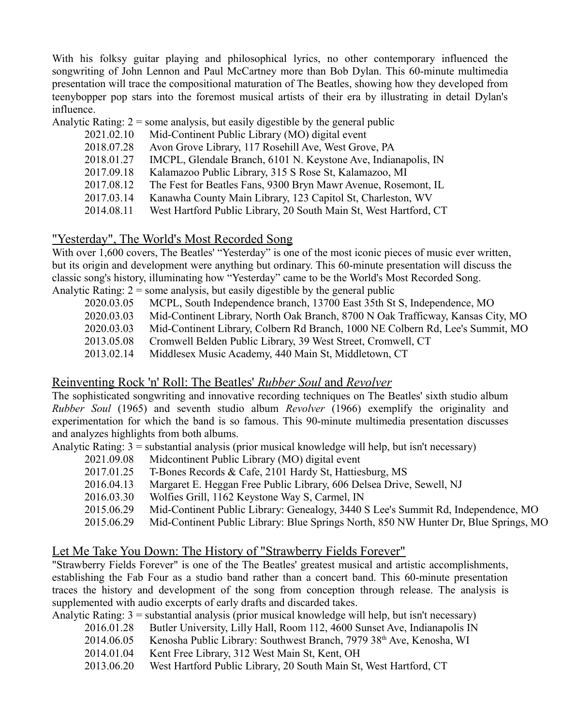With his folksy guitar playing and philosophical lyrics, no other contemporary influenced the songwriting of John Lennon and Paul McCartney more than Bob Dylan. This 60-minute multimedia presentation will trace the compositional maturation of The Beatles, showing how they developed from teenybopper pop stars into the foremost musical artists of their era by illustrating in detail Dylan's influence.

Analytic Rating:  $2 =$  some analysis, but easily digestible by the general public

- 2021.02.10 Mid-Continent Public Library (MO) digital event
- 2018.07.28 Avon Grove Library, 117 Rosehill Ave, West Grove, PA
- 2018.01.27 IMCPL, Glendale Branch, 6101 N. Keystone Ave, Indianapolis, IN
- 2017.09.18 Kalamazoo Public Library, 315 S Rose St, Kalamazoo, MI
- 2017.08.12 The Fest for Beatles Fans, 9300 Bryn Mawr Avenue, Rosemont, IL
- 2017.03.14 Kanawha County Main Library, 123 Capitol St, Charleston, WV
- 2014.08.11 West Hartford Public Library, 20 South Main St, West Hartford, CT

#### "Yesterday", The World's Most Recorded Song

With over 1,600 covers, The Beatles' "Yesterday" is one of the most iconic pieces of music ever written, but its origin and development were anything but ordinary. This 60-minute presentation will discuss the classic song's history, illuminating how "Yesterday" came to be the World's Most Recorded Song. Analytic Rating:  $2 =$  some analysis, but easily digestible by the general public

|            | $\alpha$ Kating: $\alpha$ – some analysis, but easily digestible by the general public |
|------------|----------------------------------------------------------------------------------------|
| 2020.03.05 | MCPL, South Independence branch, 13700 East 35th St S, Independence, MO                |
| 2020.03.03 | Mid-Continent Library, North Oak Branch, 8700 N Oak Trafficway, Kansas City, MO        |
| 2020.03.03 | Mid-Continent Library, Colbern Rd Branch, 1000 NE Colbern Rd, Lee's Summit, MO         |
| 2013.05.08 | Cromwell Belden Public Library, 39 West Street, Cromwell, CT                           |
| 2013.02.14 | Middlesex Music Academy, 440 Main St, Middletown, CT                                   |

#### Reinventing Rock 'n' Roll: The Beatles' *Rubber Soul* and *Revolver*

The sophisticated songwriting and innovative recording techniques on The Beatles' sixth studio album *Rubber Soul* (1965) and seventh studio album *Revolver* (1966) exemplify the originality and experimentation for which the band is so famous. This 90-minute multimedia presentation discusses and analyzes highlights from both albums.

Analytic Rating: 3 = substantial analysis (prior musical knowledge will help, but isn't necessary)

- 2021.09.08 Midcontinent Public Library (MO) digital event
- 2017.01.25 T-Bones Records & Cafe, 2101 Hardy St, Hattiesburg, MS
- 2016.04.13 Margaret E. Heggan Free Public Library, 606 Delsea Drive, Sewell, NJ
- 2016.03.30 Wolfies Grill, 1162 Keystone Way S, Carmel, IN
- 2015.06.29 Mid-Continent Public Library: Genealogy, 3440 S Lee's Summit Rd, Independence, MO
- 2015.06.29 Mid-Continent Public Library: Blue Springs North, 850 NW Hunter Dr, Blue Springs, MO

#### Let Me Take You Down: The History of "Strawberry Fields Forever"

"Strawberry Fields Forever" is one of the The Beatles' greatest musical and artistic accomplishments, establishing the Fab Four as a studio band rather than a concert band. This 60-minute presentation traces the history and development of the song from conception through release. The analysis is supplemented with audio excerpts of early drafts and discarded takes.

Analytic Rating: 3 = substantial analysis (prior musical knowledge will help, but isn't necessary)

- 2016.01.28 Butler University, Lilly Hall, Room 112, 4600 Sunset Ave, Indianapolis IN
- 2014.06.05 Kenosha Public Library: Southwest Branch, 7979 38<sup>th</sup> Ave, Kenosha, WI
- 2014.01.04 Kent Free Library, 312 West Main St, Kent, OH
- 2013.06.20 West Hartford Public Library, 20 South Main St, West Hartford, CT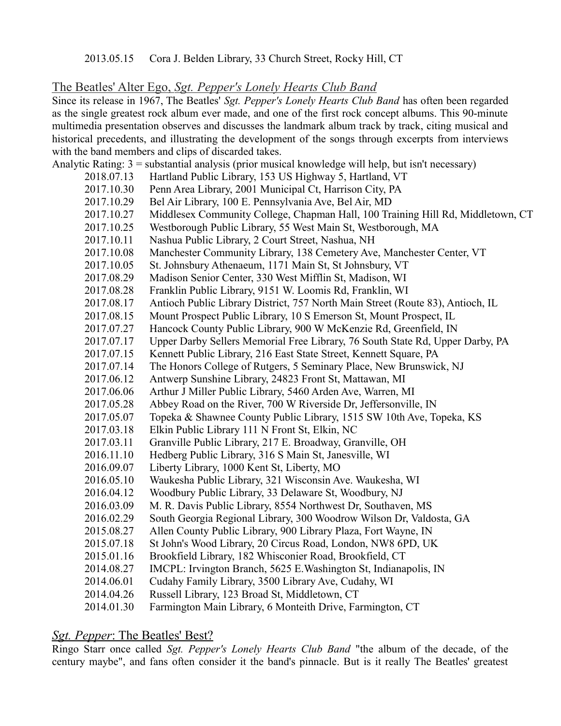## The Beatles' Alter Ego, *Sgt. Pepper's Lonely Hearts Club Band*

Since its release in 1967, The Beatles' *Sgt. Pepper's Lonely Hearts Club Band* has often been regarded as the single greatest rock album ever made, and one of the first rock concept albums. This 90-minute multimedia presentation observes and discusses the landmark album track by track, citing musical and historical precedents, and illustrating the development of the songs through excerpts from interviews with the band members and clips of discarded takes.

Analytic Rating: 3 = substantial analysis (prior musical knowledge will help, but isn't necessary)

- 2018.07.13 Hartland Public Library, 153 US Highway 5, Hartland, VT
- 2017.10.30 Penn Area Library, 2001 Municipal Ct, Harrison City, PA
- 2017.10.29 Bel Air Library, 100 E. Pennsylvania Ave, Bel Air, MD
- 2017.10.27 Middlesex Community College, Chapman Hall, 100 Training Hill Rd, Middletown, CT
- 2017.10.25 Westborough Public Library, 55 West Main St, Westborough, MA
- 2017.10.11 Nashua Public Library, 2 Court Street, Nashua, NH
- 2017.10.08 Manchester Community Library, 138 Cemetery Ave, Manchester Center, VT
- 2017.10.05 St. Johnsbury Athenaeum, 1171 Main St, St Johnsbury, VT
- 2017.08.29 Madison Senior Center, 330 West Mifflin St, Madison, WI
- 2017.08.28 Franklin Public Library, 9151 W. Loomis Rd, Franklin, WI
- 2017.08.17 Antioch Public Library District, 757 North Main Street (Route 83), Antioch, IL
- 2017.08.15 Mount Prospect Public Library, 10 S Emerson St, Mount Prospect, IL
- 2017.07.27 Hancock County Public Library, 900 W McKenzie Rd, Greenfield, IN
- 2017.07.17 Upper Darby Sellers Memorial Free Library, 76 South State Rd, Upper Darby, PA
- 2017.07.15 Kennett Public Library, 216 East State Street, Kennett Square, PA
- 2017.07.14 The Honors College of Rutgers, 5 Seminary Place, New Brunswick, NJ
- 2017.06.12 Antwerp Sunshine Library, 24823 Front St, Mattawan, MI
- 2017.06.06 Arthur J Miller Public Library, 5460 Arden Ave, Warren, MI
- 2017.05.28 Abbey Road on the River, 700 W Riverside Dr, Jeffersonville, IN
- 2017.05.07 Topeka & Shawnee County Public Library, 1515 SW 10th Ave, Topeka, KS
- 2017.03.18 Elkin Public Library 111 N Front St, Elkin, NC
- 2017.03.11 Granville Public Library, 217 E. Broadway, Granville, OH
- 2016.11.10 Hedberg Public Library, 316 S Main St, Janesville, WI
- 2016.09.07 Liberty Library, 1000 Kent St, Liberty, MO
- 2016.05.10 Waukesha Public Library, 321 Wisconsin Ave. Waukesha, WI
- 2016.04.12 Woodbury Public Library, 33 Delaware St, Woodbury, NJ
- 2016.03.09 M. R. Davis Public Library, 8554 Northwest Dr, Southaven, MS
- 2016.02.29 South Georgia Regional Library, 300 Woodrow Wilson Dr, Valdosta, GA
- 2015.08.27 Allen County Public Library, 900 Library Plaza, Fort Wayne, IN
- 2015.07.18 St John's Wood Library, 20 Circus Road, London, NW8 6PD, UK
- 2015.01.16 Brookfield Library, 182 Whisconier Road, Brookfield, CT
- 2014.08.27 IMCPL: Irvington Branch, 5625 E.Washington St, Indianapolis, IN
- 2014.06.01 Cudahy Family Library, 3500 Library Ave, Cudahy, WI
- 2014.04.26 Russell Library, 123 Broad St, Middletown, CT
- 2014.01.30 Farmington Main Library, 6 Monteith Drive, Farmington, CT

## *Sgt. Pepper*: The Beatles' Best?

Ringo Starr once called *Sgt. Pepper's Lonely Hearts Club Band* "the album of the decade, of the century maybe", and fans often consider it the band's pinnacle. But is it really The Beatles' greatest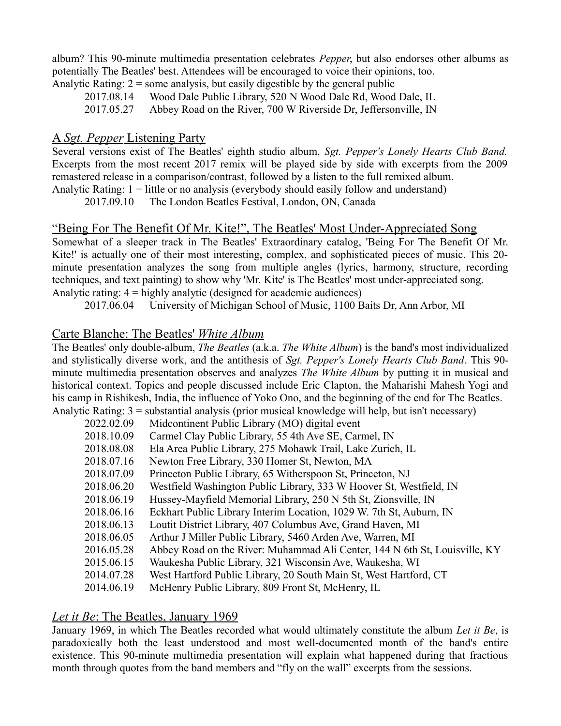album? This 90-minute multimedia presentation celebrates *Pepper*, but also endorses other albums as potentially The Beatles' best. Attendees will be encouraged to voice their opinions, too.

Analytic Rating:  $2 =$  some analysis, but easily digestible by the general public 2017.08.14 Wood Dale Public Library, 520 N Wood Dale Rd, Wood Dale, IL

2017.05.27 Abbey Road on the River, 700 W Riverside Dr, Jeffersonville, IN

#### A *Sgt. Pepper* Listening Party

Several versions exist of The Beatles' eighth studio album, *Sgt. Pepper's Lonely Hearts Club Band.* Excerpts from the most recent 2017 remix will be played side by side with excerpts from the 2009 remastered release in a comparison/contrast, followed by a listen to the full remixed album. Analytic Rating: 1 = little or no analysis (everybody should easily follow and understand)

2017.09.10 The London Beatles Festival, London, ON, Canada

#### "Being For The Benefit Of Mr. Kite!", The Beatles' Most Under-Appreciated Song

Somewhat of a sleeper track in The Beatles' Extraordinary catalog, 'Being For The Benefit Of Mr. Kite!' is actually one of their most interesting, complex, and sophisticated pieces of music. This 20 minute presentation analyzes the song from multiple angles (lyrics, harmony, structure, recording techniques, and text painting) to show why 'Mr. Kite' is The Beatles' most under-appreciated song. Analytic rating: 4 = highly analytic (designed for academic audiences)

2017.06.04 University of Michigan School of Music, 1100 Baits Dr, Ann Arbor, MI

#### Carte Blanche: The Beatles' *White Album*

The Beatles' only double-album, *The Beatles* (a.k.a. *The White Album*) is the band's most individualized and stylistically diverse work, and the antithesis of *Sgt. Pepper's Lonely Hearts Club Band*. This 90 minute multimedia presentation observes and analyzes *The White Album* by putting it in musical and historical context. Topics and people discussed include Eric Clapton, the Maharishi Mahesh Yogi and his camp in Rishikesh, India, the influence of Yoko Ono, and the beginning of the end for The Beatles. Analytic Rating: 3 = substantial analysis (prior musical knowledge will help, but isn't necessary)

| 2022.02.09 | Midcontinent Public Library (MO) digital event                             |
|------------|----------------------------------------------------------------------------|
| 2018.10.09 | Carmel Clay Public Library, 55 4th Ave SE, Carmel, IN                      |
| 2018.08.08 | Ela Area Public Library, 275 Mohawk Trail, Lake Zurich, IL                 |
| 2018.07.16 | Newton Free Library, 330 Homer St, Newton, MA                              |
| 2018.07.09 | Princeton Public Library, 65 Witherspoon St, Princeton, NJ                 |
| 2018.06.20 | Westfield Washington Public Library, 333 W Hoover St, Westfield, IN        |
| 2018.06.19 | Hussey-Mayfield Memorial Library, 250 N 5th St, Zionsville, IN             |
| 2018.06.16 | Eckhart Public Library Interim Location, 1029 W. 7th St, Auburn, IN        |
| 2018.06.13 | Loutit District Library, 407 Columbus Ave, Grand Haven, MI                 |
| 2018.06.05 | Arthur J Miller Public Library, 5460 Arden Ave, Warren, MI                 |
| 2016.05.28 | Abbey Road on the River: Muhammad Ali Center, 144 N 6th St, Louisville, KY |
| 2015.06.15 | Waukesha Public Library, 321 Wisconsin Ave, Waukesha, WI                   |
| 2014.07.28 | West Hartford Public Library, 20 South Main St, West Hartford, CT          |
| 2014.06.19 | McHenry Public Library, 809 Front St, McHenry, IL                          |

## *Let it Be*: The Beatles, January 1969

January 1969, in which The Beatles recorded what would ultimately constitute the album *Let it Be*, is paradoxically both the least understood and most well-documented month of the band's entire existence. This 90-minute multimedia presentation will explain what happened during that fractious month through quotes from the band members and "fly on the wall" excerpts from the sessions.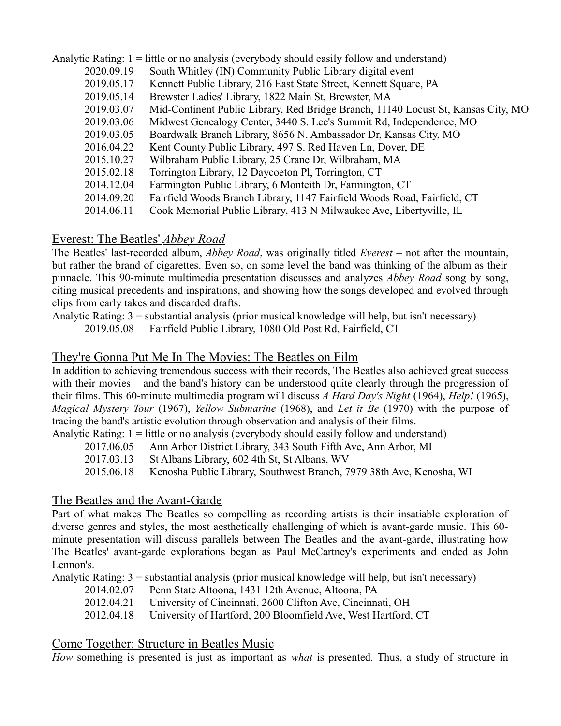|            | Analytic Rating: 1 = little or no analysis (everybody should easily follow and understand) |
|------------|--------------------------------------------------------------------------------------------|
| 2020.09.19 | South Whitley (IN) Community Public Library digital event                                  |
| 2019.05.17 | Kennett Public Library, 216 East State Street, Kennett Square, PA                          |
| 2019.05.14 | Brewster Ladies' Library, 1822 Main St, Brewster, MA                                       |
| 2019.03.07 | Mid-Continent Public Library, Red Bridge Branch, 11140 Locust St, Kansas City, MO          |
| 2019.03.06 | Midwest Genealogy Center, 3440 S. Lee's Summit Rd, Independence, MO                        |
| 2019.03.05 | Boardwalk Branch Library, 8656 N. Ambassador Dr, Kansas City, MO                           |
| 2016.04.22 | Kent County Public Library, 497 S. Red Haven Ln, Dover, DE                                 |
| 2015.10.27 | Wilbraham Public Library, 25 Crane Dr, Wilbraham, MA                                       |
| 2015.02.18 | Torrington Library, 12 Daycoeton Pl, Torrington, CT                                        |
| 2014.12.04 | Farmington Public Library, 6 Monteith Dr, Farmington, CT                                   |
| 2014.09.20 | Fairfield Woods Branch Library, 1147 Fairfield Woods Road, Fairfield, CT                   |
| 2014.06.11 | Cook Memorial Public Library, 413 N Milwaukee Ave, Libertyville, IL                        |

#### Everest: The Beatles' *Abbey Road*

The Beatles' last-recorded album, *Abbey Road*, was originally titled *Everest* – not after the mountain, but rather the brand of cigarettes. Even so, on some level the band was thinking of the album as their pinnacle. This 90-minute multimedia presentation discusses and analyzes *Abbey Road* song by song, citing musical precedents and inspirations, and showing how the songs developed and evolved through clips from early takes and discarded drafts.

Analytic Rating: 3 = substantial analysis (prior musical knowledge will help, but isn't necessary) 2019.05.08 Fairfield Public Library, 1080 Old Post Rd, Fairfield, CT

# They're Gonna Put Me In The Movies: The Beatles on Film

In addition to achieving tremendous success with their records, The Beatles also achieved great success with their movies – and the band's history can be understood quite clearly through the progression of their films. This 60-minute multimedia program will discuss *A Hard Day's Night* (1964), *Help!* (1965), *Magical Mystery Tour* (1967), *Yellow Submarine* (1968), and *Let it Be* (1970) with the purpose of tracing the band's artistic evolution through observation and analysis of their films.

Analytic Rating: 1 = little or no analysis (everybody should easily follow and understand)

- 2017.06.05 Ann Arbor District Library, 343 South Fifth Ave, Ann Arbor, MI
- 2017.03.13 St Albans Library, 602 4th St, St Albans, WV
- 2015.06.18 Kenosha Public Library, Southwest Branch, 7979 38th Ave, Kenosha, WI

#### The Beatles and the Avant-Garde

Part of what makes The Beatles so compelling as recording artists is their insatiable exploration of diverse genres and styles, the most aesthetically challenging of which is avant-garde music. This 60 minute presentation will discuss parallels between The Beatles and the avant-garde, illustrating how The Beatles' avant-garde explorations began as Paul McCartney's experiments and ended as John Lennon's.

Analytic Rating: 3 = substantial analysis (prior musical knowledge will help, but isn't necessary)

- 2014.02.07 Penn State Altoona, 1431 12th Avenue, Altoona, PA
- 2012.04.21 University of Cincinnati, 2600 Clifton Ave, Cincinnati, OH

2012.04.18 University of Hartford, 200 Bloomfield Ave, West Hartford, CT

#### Come Together: Structure in Beatles Music

*How* something is presented is just as important as *what* is presented. Thus, a study of structure in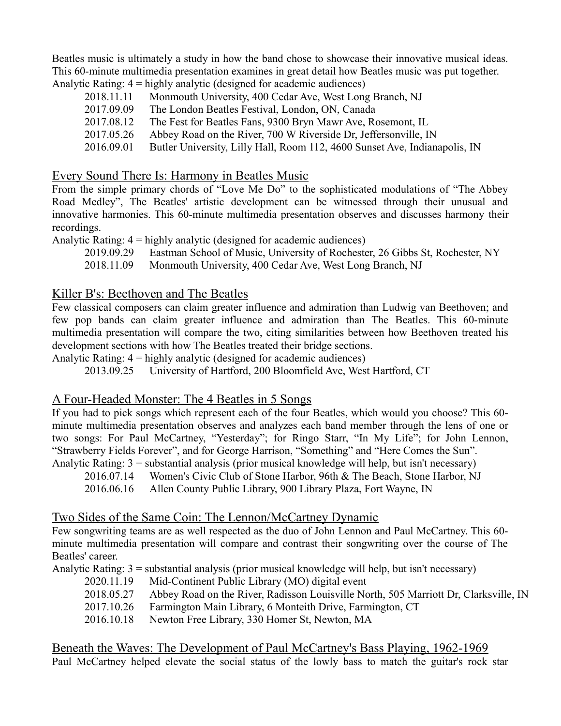Beatles music is ultimately a study in how the band chose to showcase their innovative musical ideas. This 60-minute multimedia presentation examines in great detail how Beatles music was put together. Analytic Rating: 4 = highly analytic (designed for academic audiences)

2018.11.11 Monmouth University, 400 Cedar Ave, West Long Branch, NJ 2017.09.09 The London Beatles Festival, London, ON, Canada 2017.08.12 The Fest for Beatles Fans, 9300 Bryn Mawr Ave, Rosemont, IL 2017.05.26 Abbey Road on the River, 700 W Riverside Dr, Jeffersonville, IN 2016.09.01 Butler University, Lilly Hall, Room 112, 4600 Sunset Ave, Indianapolis, IN

### Every Sound There Is: Harmony in Beatles Music

From the simple primary chords of "Love Me Do" to the sophisticated modulations of "The Abbey Road Medley", The Beatles' artistic development can be witnessed through their unusual and innovative harmonies. This 60-minute multimedia presentation observes and discusses harmony their recordings.

Analytic Rating: 4 = highly analytic (designed for academic audiences)

- 2019.09.29 Eastman School of Music, University of Rochester, 26 Gibbs St, Rochester, NY
- 2018.11.09 Monmouth University, 400 Cedar Ave, West Long Branch, NJ

## Killer B's: Beethoven and The Beatles

Few classical composers can claim greater influence and admiration than Ludwig van Beethoven; and few pop bands can claim greater influence and admiration than The Beatles. This 60-minute multimedia presentation will compare the two, citing similarities between how Beethoven treated his development sections with how The Beatles treated their bridge sections.

Analytic Rating: 4 = highly analytic (designed for academic audiences)

2013.09.25 University of Hartford, 200 Bloomfield Ave, West Hartford, CT

#### A Four-Headed Monster: The 4 Beatles in 5 Songs

If you had to pick songs which represent each of the four Beatles, which would you choose? This 60 minute multimedia presentation observes and analyzes each band member through the lens of one or two songs: For Paul McCartney, "Yesterday"; for Ringo Starr, "In My Life"; for John Lennon, "Strawberry Fields Forever", and for George Harrison, "Something" and "Here Comes the Sun". Analytic Rating: 3 = substantial analysis (prior musical knowledge will help, but isn't necessary)

2016.07.14 Women's Civic Club of Stone Harbor, 96th & The Beach, Stone Harbor, NJ

2016.06.16 Allen County Public Library, 900 Library Plaza, Fort Wayne, IN

#### Two Sides of the Same Coin: The Lennon/McCartney Dynamic

Few songwriting teams are as well respected as the duo of John Lennon and Paul McCartney. This 60 minute multimedia presentation will compare and contrast their songwriting over the course of The Beatles' career.

Analytic Rating: 3 = substantial analysis (prior musical knowledge will help, but isn't necessary)

- 2020.11.19 Mid-Continent Public Library (MO) digital event
- 2018.05.27 Abbey Road on the River, Radisson Louisville North, 505 Marriott Dr, Clarksville, IN
- 2017.10.26 Farmington Main Library, 6 Monteith Drive, Farmington, CT
- 2016.10.18 Newton Free Library, 330 Homer St, Newton, MA

Beneath the Waves: The Development of Paul McCartney's Bass Playing, 1962-1969 Paul McCartney helped elevate the social status of the lowly bass to match the guitar's rock star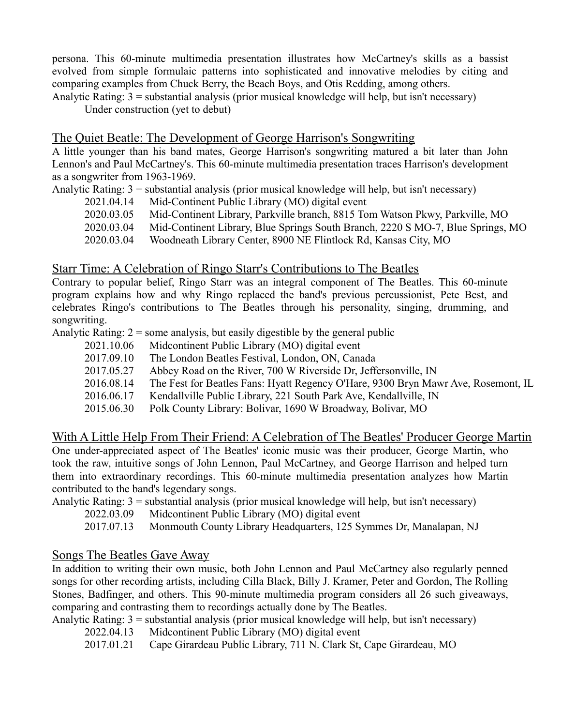persona. This 60-minute multimedia presentation illustrates how McCartney's skills as a bassist evolved from simple formulaic patterns into sophisticated and innovative melodies by citing and comparing examples from Chuck Berry, the Beach Boys, and Otis Redding, among others.

Analytic Rating: 3 = substantial analysis (prior musical knowledge will help, but isn't necessary)

Under construction (yet to debut)

#### The Quiet Beatle: The Development of George Harrison's Songwriting

A little younger than his band mates, George Harrison's songwriting matured a bit later than John Lennon's and Paul McCartney's. This 60-minute multimedia presentation traces Harrison's development as a songwriter from 1963-1969.

Analytic Rating: 3 = substantial analysis (prior musical knowledge will help, but isn't necessary)

- 2021.04.14 Mid-Continent Public Library (MO) digital event
- 2020.03.05 Mid-Continent Library, Parkville branch, 8815 Tom Watson Pkwy, Parkville, MO
- 2020.03.04 Mid-Continent Library, Blue Springs South Branch, 2220 S MO-7, Blue Springs, MO
- 2020.03.04 Woodneath Library Center, 8900 NE Flintlock Rd, Kansas City, MO

## Starr Time: A Celebration of Ringo Starr's Contributions to The Beatles

Contrary to popular belief, Ringo Starr was an integral component of The Beatles. This 60-minute program explains how and why Ringo replaced the band's previous percussionist, Pete Best, and celebrates Ringo's contributions to The Beatles through his personality, singing, drumming, and songwriting.

Analytic Rating:  $2 =$  some analysis, but easily digestible by the general public

- 2021.10.06 Midcontinent Public Library (MO) digital event
- 2017.09.10 The London Beatles Festival, London, ON, Canada
- 2017.05.27 Abbey Road on the River, 700 W Riverside Dr, Jeffersonville, IN
- 2016.08.14 The Fest for Beatles Fans: Hyatt Regency O'Hare, 9300 Bryn Mawr Ave, Rosemont, IL
- 2016.06.17 Kendallville Public Library, 221 South Park Ave, Kendallville, IN
- 2015.06.30 Polk County Library: Bolivar, 1690 W Broadway, Bolivar, MO

With A Little Help From Their Friend: A Celebration of The Beatles' Producer George Martin One under-appreciated aspect of The Beatles' iconic music was their producer, George Martin, who took the raw, intuitive songs of John Lennon, Paul McCartney, and George Harrison and helped turn them into extraordinary recordings. This 60-minute multimedia presentation analyzes how Martin contributed to the band's legendary songs.

Analytic Rating: 3 = substantial analysis (prior musical knowledge will help, but isn't necessary)

- 2022.03.09 Midcontinent Public Library (MO) digital event
- 2017.07.13 Monmouth County Library Headquarters, 125 Symmes Dr, Manalapan, NJ

# Songs The Beatles Gave Away

In addition to writing their own music, both John Lennon and Paul McCartney also regularly penned songs for other recording artists, including Cilla Black, Billy J. Kramer, Peter and Gordon, The Rolling Stones, Badfinger, and others. This 90-minute multimedia program considers all 26 such giveaways, comparing and contrasting them to recordings actually done by The Beatles.

Analytic Rating: 3 = substantial analysis (prior musical knowledge will help, but isn't necessary)

- 2022.04.13 Midcontinent Public Library (MO) digital event
- 2017.01.21 Cape Girardeau Public Library, 711 N. Clark St, Cape Girardeau, MO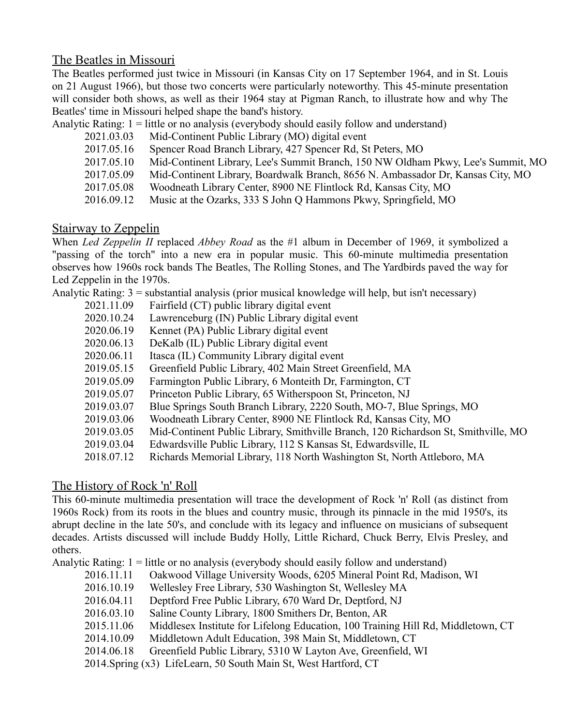## The Beatles in Missouri

The Beatles performed just twice in Missouri (in Kansas City on 17 September 1964, and in St. Louis on 21 August 1966), but those two concerts were particularly noteworthy. This 45-minute presentation will consider both shows, as well as their 1964 stay at Pigman Ranch, to illustrate how and why The Beatles' time in Missouri helped shape the band's history.

Analytic Rating: 1 = little or no analysis (everybody should easily follow and understand)

- 2021.03.03 Mid-Continent Public Library (MO) digital event
- 2017.05.16 Spencer Road Branch Library, 427 Spencer Rd, St Peters, MO
- 2017.05.10 Mid-Continent Library, Lee's Summit Branch, 150 NW Oldham Pkwy, Lee's Summit, MO
- 2017.05.09 Mid-Continent Library, Boardwalk Branch, 8656 N. Ambassador Dr, Kansas City, MO
- 2017.05.08 Woodneath Library Center, 8900 NE Flintlock Rd, Kansas City, MO
- 2016.09.12 Music at the Ozarks, 333 S John Q Hammons Pkwy, Springfield, MO

# Stairway to Zeppelin

When *Led Zeppelin II* replaced *Abbey Road* as the #1 album in December of 1969, it symbolized a "passing of the torch" into a new era in popular music. This 60-minute multimedia presentation observes how 1960s rock bands The Beatles, The Rolling Stones, and The Yardbirds paved the way for Led Zeppelin in the 1970s.

Analytic Rating: 3 = substantial analysis (prior musical knowledge will help, but isn't necessary)

- 2021.11.09 Fairfield (CT) public library digital event
- 2020.10.24 Lawrenceburg (IN) Public Library digital event
- 2020.06.19 Kennet (PA) Public Library digital event
- 2020.06.13 DeKalb (IL) Public Library digital event
- 2020.06.11 Itasca (IL) Community Library digital event
- 2019.05.15 Greenfield Public Library, 402 Main Street Greenfield, MA
- 2019.05.09 Farmington Public Library, 6 Monteith Dr, Farmington, CT
- 2019.05.07 Princeton Public Library, 65 Witherspoon St, Princeton, NJ
- 2019.03.07 Blue Springs South Branch Library, 2220 South, MO-7, Blue Springs, MO
- 2019.03.06 Woodneath Library Center, 8900 NE Flintlock Rd, Kansas City, MO
- 2019.03.05 Mid-Continent Public Library, Smithville Branch, 120 Richardson St, Smithville, MO
- 2019.03.04 Edwardsville Public Library, 112 S Kansas St, Edwardsville, IL
- 2018.07.12 Richards Memorial Library, 118 North Washington St, North Attleboro, MA

# The History of Rock 'n' Roll

This 60-minute multimedia presentation will trace the development of Rock 'n' Roll (as distinct from 1960s Rock) from its roots in the blues and country music, through its pinnacle in the mid 1950's, its abrupt decline in the late 50's, and conclude with its legacy and influence on musicians of subsequent decades. Artists discussed will include Buddy Holly, Little Richard, Chuck Berry, Elvis Presley, and others.

Analytic Rating: 1 = little or no analysis (everybody should easily follow and understand)

- 2016.11.11 Oakwood Village University Woods, 6205 Mineral Point Rd, Madison, WI
- 2016.10.19 Wellesley Free Library, 530 Washington St, Wellesley MA
- 2016.04.11 Deptford Free Public Library, 670 Ward Dr, Deptford, NJ
- 2016.03.10 Saline County Library, 1800 Smithers Dr, Benton, AR
- 2015.11.06 Middlesex Institute for Lifelong Education, 100 Training Hill Rd, Middletown, CT
- 2014.10.09 Middletown Adult Education, 398 Main St, Middletown, CT
- 2014.06.18 Greenfield Public Library, 5310 W Layton Ave, Greenfield, WI

2014.Spring (x3) LifeLearn, 50 South Main St, West Hartford, CT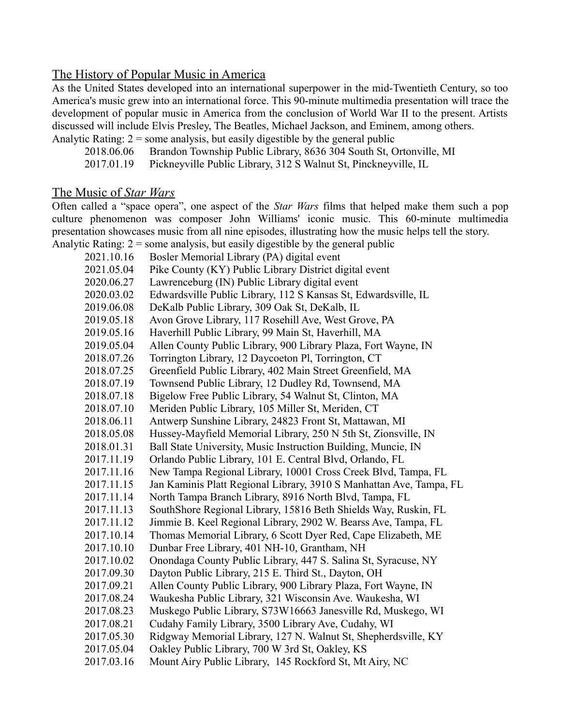#### The History of Popular Music in America

As the United States developed into an international superpower in the mid-Twentieth Century, so too America's music grew into an international force. This 90-minute multimedia presentation will trace the development of popular music in America from the conclusion of World War II to the present. Artists discussed will include Elvis Presley, The Beatles, Michael Jackson, and Eminem, among others. Analytic Rating:  $2 =$  some analysis, but easily digestible by the general public

2018.06.06 Brandon Township Public Library, 8636 304 South St, Ortonville, MI

2017.01.19 Pickneyville Public Library, 312 S Walnut St, Pinckneyville, IL

#### The Music of *Star Wars*

Often called a "space opera", one aspect of the *Star Wars* films that helped make them such a pop culture phenomenon was composer John Williams' iconic music. This 60-minute multimedia presentation showcases music from all nine episodes, illustrating how the music helps tell the story. Analytic Rating:  $2 =$  some analysis, but easily digestible by the general public

| 2021.10.16 | Bosler Memorial Library (PA) digital event                          |
|------------|---------------------------------------------------------------------|
| 2021.05.04 | Pike County (KY) Public Library District digital event              |
| 2020.06.27 | Lawrenceburg (IN) Public Library digital event                      |
| 2020.03.02 | Edwardsville Public Library, 112 S Kansas St, Edwardsville, IL      |
| 2019.06.08 | DeKalb Public Library, 309 Oak St, DeKalb, IL                       |
| 2019.05.18 | Avon Grove Library, 117 Rosehill Ave, West Grove, PA                |
| 2019.05.16 | Haverhill Public Library, 99 Main St, Haverhill, MA                 |
| 2019.05.04 | Allen County Public Library, 900 Library Plaza, Fort Wayne, IN      |
| 2018.07.26 | Torrington Library, 12 Daycoeton Pl, Torrington, CT                 |
| 2018.07.25 | Greenfield Public Library, 402 Main Street Greenfield, MA           |
| 2018.07.19 | Townsend Public Library, 12 Dudley Rd, Townsend, MA                 |
| 2018.07.18 | Bigelow Free Public Library, 54 Walnut St, Clinton, MA              |
| 2018.07.10 | Meriden Public Library, 105 Miller St, Meriden, CT                  |
| 2018.06.11 | Antwerp Sunshine Library, 24823 Front St, Mattawan, MI              |
| 2018.05.08 | Hussey-Mayfield Memorial Library, 250 N 5th St, Zionsville, IN      |
| 2018.01.31 | Ball State University, Music Instruction Building, Muncie, IN       |
| 2017.11.19 | Orlando Public Library, 101 E. Central Blvd, Orlando, FL            |
| 2017.11.16 | New Tampa Regional Library, 10001 Cross Creek Blvd, Tampa, FL       |
| 2017.11.15 | Jan Kaminis Platt Regional Library, 3910 S Manhattan Ave, Tampa, FL |
| 2017.11.14 | North Tampa Branch Library, 8916 North Blvd, Tampa, FL              |
| 2017.11.13 | SouthShore Regional Library, 15816 Beth Shields Way, Ruskin, FL     |
| 2017.11.12 | Jimmie B. Keel Regional Library, 2902 W. Bearss Ave, Tampa, FL      |
| 2017.10.14 | Thomas Memorial Library, 6 Scott Dyer Red, Cape Elizabeth, ME       |
| 2017.10.10 | Dunbar Free Library, 401 NH-10, Grantham, NH                        |
| 2017.10.02 | Onondaga County Public Library, 447 S. Salina St, Syracuse, NY      |
| 2017.09.30 | Dayton Public Library, 215 E. Third St., Dayton, OH                 |
| 2017.09.21 | Allen County Public Library, 900 Library Plaza, Fort Wayne, IN      |
| 2017.08.24 | Waukesha Public Library, 321 Wisconsin Ave. Waukesha, WI            |
| 2017.08.23 | Muskego Public Library, S73W16663 Janesville Rd, Muskego, WI        |
| 2017.08.21 | Cudahy Family Library, 3500 Library Ave, Cudahy, WI                 |
| 2017.05.30 | Ridgway Memorial Library, 127 N. Walnut St, Shepherdsville, KY      |
| 2017.05.04 | Oakley Public Library, 700 W 3rd St, Oakley, KS                     |
| 2017.03.16 | Mount Airy Public Library, 145 Rockford St, Mt Airy, NC             |
|            |                                                                     |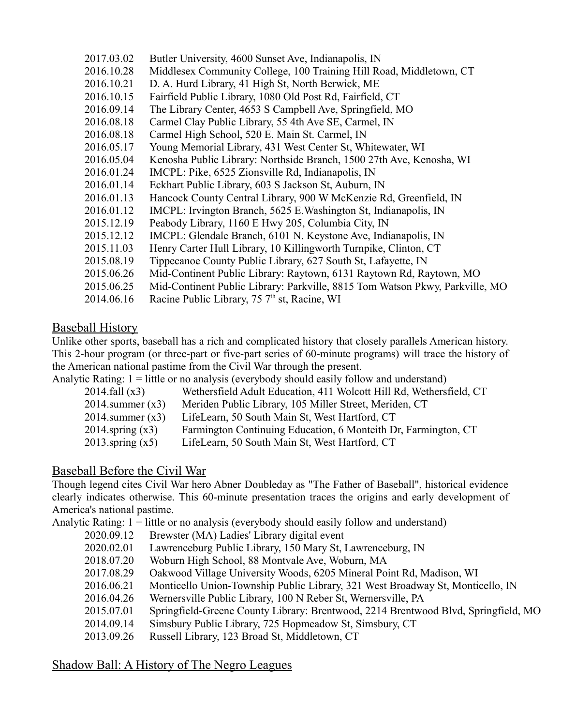| 2017.03.02 | Butler University, 4600 Sunset Ave, Indianapolis, IN                         |
|------------|------------------------------------------------------------------------------|
| 2016.10.28 | Middlesex Community College, 100 Training Hill Road, Middletown, CT          |
| 2016.10.21 | D. A. Hurd Library, 41 High St, North Berwick, ME                            |
| 2016.10.15 | Fairfield Public Library, 1080 Old Post Rd, Fairfield, CT                    |
| 2016.09.14 | The Library Center, 4653 S Campbell Ave, Springfield, MO                     |
| 2016.08.18 | Carmel Clay Public Library, 55 4th Ave SE, Carmel, IN                        |
| 2016.08.18 | Carmel High School, 520 E. Main St. Carmel, IN                               |
| 2016.05.17 | Young Memorial Library, 431 West Center St, Whitewater, WI                   |
| 2016.05.04 | Kenosha Public Library: Northside Branch, 1500 27th Ave, Kenosha, WI         |
| 2016.01.24 | IMCPL: Pike, 6525 Zionsville Rd, Indianapolis, IN                            |
| 2016.01.14 | Eckhart Public Library, 603 S Jackson St, Auburn, IN                         |
| 2016.01.13 | Hancock County Central Library, 900 W McKenzie Rd, Greenfield, IN            |
| 2016.01.12 | IMCPL: Irvington Branch, 5625 E. Washington St, Indianapolis, IN             |
| 2015.12.19 | Peabody Library, 1160 E Hwy 205, Columbia City, IN                           |
| 2015.12.12 | IMCPL: Glendale Branch, 6101 N. Keystone Ave, Indianapolis, IN               |
| 2015.11.03 | Henry Carter Hull Library, 10 Killingworth Turnpike, Clinton, CT             |
| 2015.08.19 | Tippecanoe County Public Library, 627 South St, Lafayette, IN                |
| 2015.06.26 | Mid-Continent Public Library: Raytown, 6131 Raytown Rd, Raytown, MO          |
| 2015.06.25 | Mid-Continent Public Library: Parkville, 8815 Tom Watson Pkwy, Parkville, MO |
| 2014.06.16 | Racine Public Library, 75 7 <sup>th</sup> st, Racine, WI                     |

## Baseball History

Unlike other sports, baseball has a rich and complicated history that closely parallels American history. This 2-hour program (or three-part or five-part series of 60-minute programs) will trace the history of the American national pastime from the Civil War through the present.

Analytic Rating: 1 = little or no analysis (everybody should easily follow and understand)

| 2014.fall (x3)        | Wethersfield Adult Education, 411 Wolcott Hill Rd, Wethersfield, CT |
|-----------------------|---------------------------------------------------------------------|
| $2014$ .summer $(x3)$ | Meriden Public Library, 105 Miller Street, Meriden, CT              |
| $2014$ .summer $(x3)$ | LifeLearn, 50 South Main St, West Hartford, CT                      |
| $2014$ spring $(x3)$  | Farmington Continuing Education, 6 Monteith Dr, Farmington, CT      |
| $2013$ .spring $(x5)$ | LifeLearn, 50 South Main St, West Hartford, CT                      |
|                       |                                                                     |

#### Baseball Before the Civil War

Though legend cites Civil War hero Abner Doubleday as "The Father of Baseball", historical evidence clearly indicates otherwise. This 60-minute presentation traces the origins and early development of America's national pastime.

Analytic Rating: 1 = little or no analysis (everybody should easily follow and understand)

- 2020.09.12 Brewster (MA) Ladies' Library digital event
- 2020.02.01 Lawrenceburg Public Library, 150 Mary St, Lawrenceburg, IN
- 2018.07.20 Woburn High School, 88 Montvale Ave, Woburn, MA
- 2017.08.29 Oakwood Village University Woods, 6205 Mineral Point Rd, Madison, WI
- 2016.06.21 Monticello Union-Township Public Library, 321 West Broadway St, Monticello, IN
- 2016.04.26 Wernersville Public Library, 100 N Reber St, Wernersville, PA
- 2015.07.01 Springfield-Greene County Library: Brentwood, 2214 Brentwood Blvd, Springfield, MO
- 2014.09.14 Simsbury Public Library, 725 Hopmeadow St, Simsbury, CT
- 2013.09.26 Russell Library, 123 Broad St, Middletown, CT

#### Shadow Ball: A History of The Negro Leagues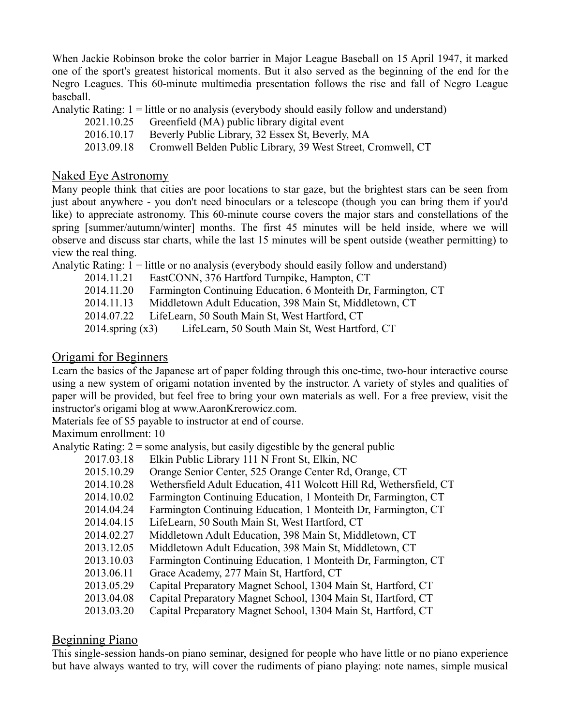When Jackie Robinson broke the color barrier in Major League Baseball on 15 April 1947, it marked one of the sport's greatest historical moments. But it also served as the beginning of the end for the Negro Leagues. This 60-minute multimedia presentation follows the rise and fall of Negro League baseball.

Analytic Rating: 1 = little or no analysis (everybody should easily follow and understand)

- 2021.10.25 Greenfield (MA) public library digital event
- 2016.10.17 Beverly Public Library, 32 Essex St, Beverly, MA
- 2013.09.18 Cromwell Belden Public Library, 39 West Street, Cromwell, CT

#### Naked Eye Astronomy

Many people think that cities are poor locations to star gaze, but the brightest stars can be seen from just about anywhere - you don't need binoculars or a telescope (though you can bring them if you'd like) to appreciate astronomy. This 60-minute course covers the major stars and constellations of the spring [summer/autumn/winter] months. The first 45 minutes will be held inside, where we will observe and discuss star charts, while the last 15 minutes will be spent outside (weather permitting) to view the real thing.

Analytic Rating: 1 = little or no analysis (everybody should easily follow and understand)

2014.11.21 EastCONN, 376 Hartford Turnpike, Hampton, CT

- 2014.11.20 Farmington Continuing Education, 6 Monteith Dr, Farmington, CT
- 2014.11.13 Middletown Adult Education, 398 Main St, Middletown, CT
- 2014.07.22 LifeLearn, 50 South Main St, West Hartford, CT
- 2014.spring (x3) LifeLearn, 50 South Main St, West Hartford, CT

### Origami for Beginners

Learn the basics of the Japanese art of paper folding through this one-time, two-hour interactive course using a new system of origami notation invented by the instructor. A variety of styles and qualities of paper will be provided, but feel free to bring your own materials as well. For a free preview, visit the instructor's origami blog at www.AaronKrerowicz.com.

Materials fee of \$5 payable to instructor at end of course.

Maximum enrollment: 10

Analytic Rating:  $2 =$  some analysis, but easily digestible by the general public

- 2017.03.18 Elkin Public Library 111 N Front St, Elkin, NC
- 2015.10.29 Orange Senior Center, 525 Orange Center Rd, Orange, CT
- 2014.10.28 Wethersfield Adult Education, 411 Wolcott Hill Rd, Wethersfield, CT
- 2014.10.02 Farmington Continuing Education, 1 Monteith Dr, Farmington, CT
- 2014.04.24 Farmington Continuing Education, 1 Monteith Dr, Farmington, CT
- 2014.04.15 LifeLearn, 50 South Main St, West Hartford, CT
- 2014.02.27 Middletown Adult Education, 398 Main St, Middletown, CT
- 2013.12.05 Middletown Adult Education, 398 Main St, Middletown, CT
- 2013.10.03 Farmington Continuing Education, 1 Monteith Dr, Farmington, CT
- 2013.06.11 Grace Academy, 277 Main St, Hartford, CT
- 2013.05.29 Capital Preparatory Magnet School, 1304 Main St, Hartford, CT
- 2013.04.08 Capital Preparatory Magnet School, 1304 Main St, Hartford, CT
- 2013.03.20 Capital Preparatory Magnet School, 1304 Main St, Hartford, CT

#### Beginning Piano

This single-session hands-on piano seminar, designed for people who have little or no piano experience but have always wanted to try, will cover the rudiments of piano playing: note names, simple musical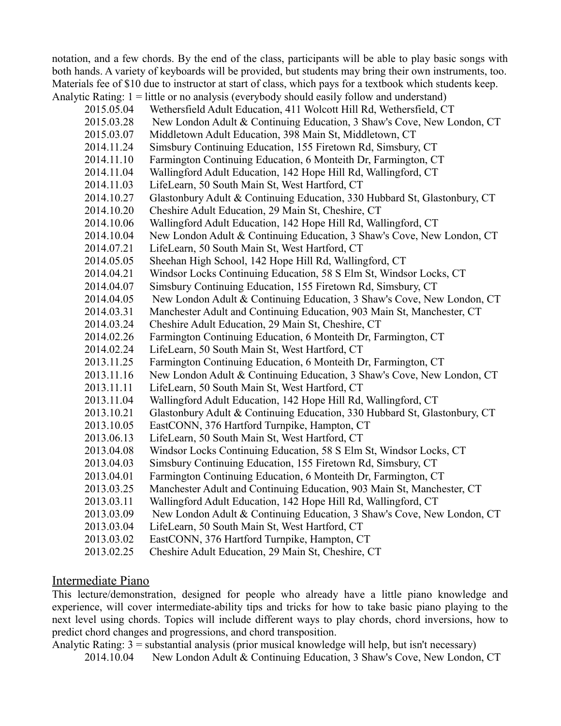notation, and a few chords. By the end of the class, participants will be able to play basic songs with both hands. A variety of keyboards will be provided, but students may bring their own instruments, too. Materials fee of \$10 due to instructor at start of class, which pays for a textbook which students keep. Analytic Rating: 1 = little or no analysis (everybody should easily follow and understand)

| 2015.05.04 | Wethersfield Adult Education, 411 Wolcott Hill Rd, Wethersfield, CT       |
|------------|---------------------------------------------------------------------------|
| 2015.03.28 | New London Adult & Continuing Education, 3 Shaw's Cove, New London, CT    |
| 2015.03.07 | Middletown Adult Education, 398 Main St, Middletown, CT                   |
| 2014.11.24 | Simsbury Continuing Education, 155 Firetown Rd, Simsbury, CT              |
| 2014.11.10 | Farmington Continuing Education, 6 Monteith Dr, Farmington, CT            |
| 2014.11.04 | Wallingford Adult Education, 142 Hope Hill Rd, Wallingford, CT            |
| 2014.11.03 | LifeLearn, 50 South Main St, West Hartford, CT                            |
| 2014.10.27 | Glastonbury Adult & Continuing Education, 330 Hubbard St, Glastonbury, CT |
| 2014.10.20 | Cheshire Adult Education, 29 Main St, Cheshire, CT                        |
| 2014.10.06 | Wallingford Adult Education, 142 Hope Hill Rd, Wallingford, CT            |
| 2014.10.04 | New London Adult & Continuing Education, 3 Shaw's Cove, New London, CT    |
| 2014.07.21 | LifeLearn, 50 South Main St, West Hartford, CT                            |
| 2014.05.05 | Sheehan High School, 142 Hope Hill Rd, Wallingford, CT                    |
| 2014.04.21 | Windsor Locks Continuing Education, 58 S Elm St, Windsor Locks, CT        |
| 2014.04.07 | Simsbury Continuing Education, 155 Firetown Rd, Simsbury, CT              |
| 2014.04.05 | New London Adult & Continuing Education, 3 Shaw's Cove, New London, CT    |
| 2014.03.31 | Manchester Adult and Continuing Education, 903 Main St, Manchester, CT    |
| 2014.03.24 | Cheshire Adult Education, 29 Main St, Cheshire, CT                        |
| 2014.02.26 | Farmington Continuing Education, 6 Monteith Dr, Farmington, CT            |
| 2014.02.24 | LifeLearn, 50 South Main St, West Hartford, CT                            |
| 2013.11.25 | Farmington Continuing Education, 6 Monteith Dr, Farmington, CT            |
| 2013.11.16 | New London Adult & Continuing Education, 3 Shaw's Cove, New London, CT    |
| 2013.11.11 | LifeLearn, 50 South Main St, West Hartford, CT                            |
| 2013.11.04 | Wallingford Adult Education, 142 Hope Hill Rd, Wallingford, CT            |
| 2013.10.21 | Glastonbury Adult & Continuing Education, 330 Hubbard St, Glastonbury, CT |
| 2013.10.05 | EastCONN, 376 Hartford Turnpike, Hampton, CT                              |
| 2013.06.13 | LifeLearn, 50 South Main St, West Hartford, CT                            |
| 2013.04.08 | Windsor Locks Continuing Education, 58 S Elm St, Windsor Locks, CT        |
| 2013.04.03 | Simsbury Continuing Education, 155 Firetown Rd, Simsbury, CT              |
| 2013.04.01 | Farmington Continuing Education, 6 Monteith Dr, Farmington, CT            |
| 2013.03.25 | Manchester Adult and Continuing Education, 903 Main St, Manchester, CT    |
| 2013.03.11 | Wallingford Adult Education, 142 Hope Hill Rd, Wallingford, CT            |
| 2013.03.09 | New London Adult & Continuing Education, 3 Shaw's Cove, New London, CT    |
| 2013.03.04 | LifeLearn, 50 South Main St, West Hartford, CT                            |
| 2013.03.02 | EastCONN, 376 Hartford Turnpike, Hampton, CT                              |
| 2013.02.25 | Cheshire Adult Education, 29 Main St, Cheshire, CT                        |

#### Intermediate Piano

This lecture/demonstration, designed for people who already have a little piano knowledge and experience, will cover intermediate-ability tips and tricks for how to take basic piano playing to the next level using chords. Topics will include different ways to play chords, chord inversions, how to predict chord changes and progressions, and chord transposition.

Analytic Rating: 3 = substantial analysis (prior musical knowledge will help, but isn't necessary)

2014.10.04 New London Adult & Continuing Education, 3 Shaw's Cove, New London, CT